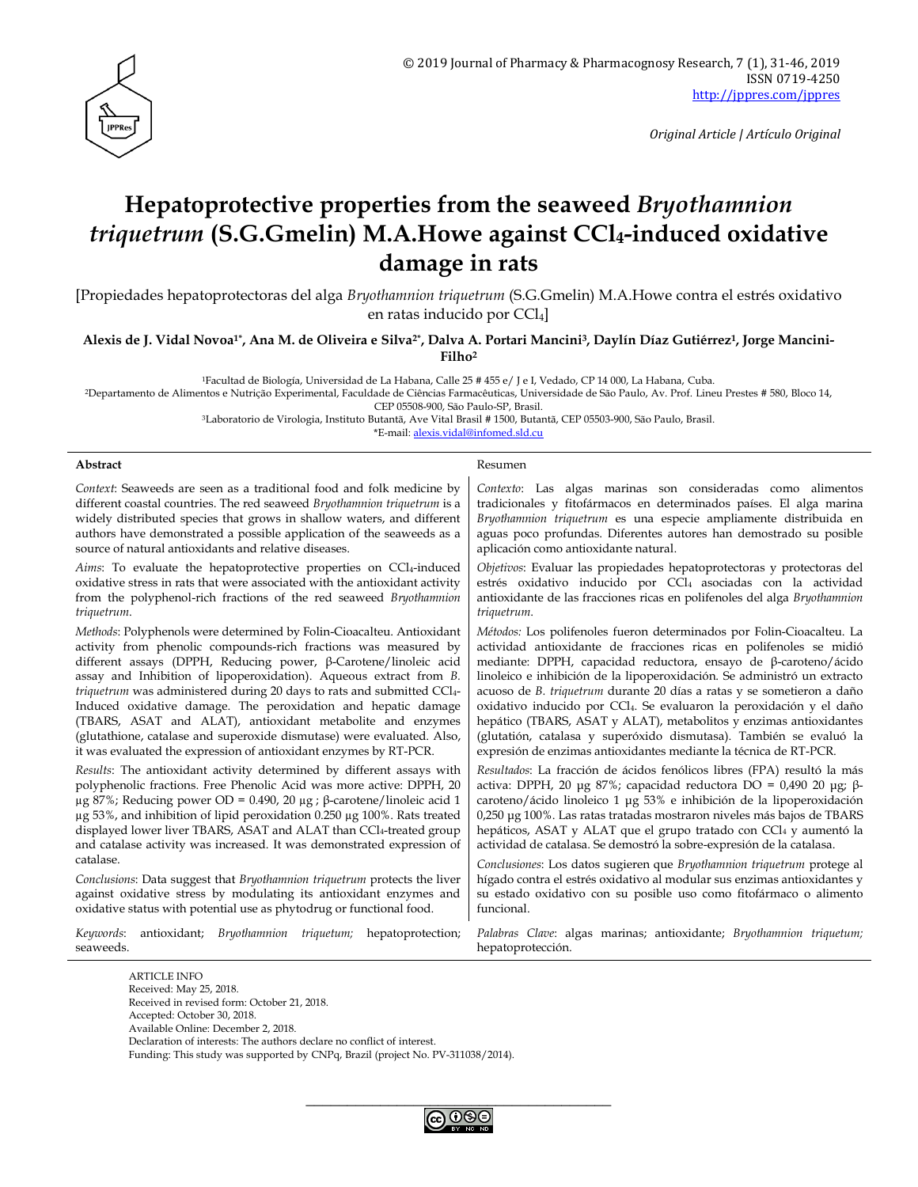

*Original Article | Artículo Original*

# **Hepatoprotective properties from the seaweed** *Bryothamnion triquetrum* **(S.G.Gmelin) M.A.Howe against CCl4-induced oxidative damage in rats**

[Propiedades hepatoprotectoras del alga *Bryothamnion triquetrum* (S.G.Gmelin) M.A.Howe contra el estrés oxidativo en ratas inducido por CCl<sub>4</sub>

**Alexis de J. Vidal Novoa1\* , Ana M. de Oliveira e Silva2\*, Dalva A. Portari Mancini3, Daylín Díaz Gutiérrez1, Jorge Mancini-Filho<sup>2</sup>**

<sup>1</sup>Facultad de Biología, Universidad de La Habana, Calle 25 # 455 e/ J e I, Vedado, CP 14 000, La Habana, Cuba.

<sup>2</sup>Departamento de Alimentos e Nutrição Experimental, Faculdade de Ciências Farmacêuticas, Universidade de São Paulo, Av. Prof. Lineu Prestes # 580, Bloco 14, CEP 05508-900, São Paulo-SP, Brasil.

<sup>3</sup>Laboratorio de Virologia, Instituto Butantã, Ave Vital Brasil # 1500, Butantã, CEP 05503-900, São Paulo, Brasil.

\*E-mail: [alexis.vidal@infomed.sld.cu](mailto:alexis.vidal@infomed.sld.cu)

#### **Abstract** Resument Resument Resument Resument Resument Resument Resument Resument Resument Resument Resument Resument Resument Resument Resument Resument Resument Resument Resument Resument Resument Resument Resument Resu

*Context*: Seaweeds are seen as a traditional food and folk medicine by different coastal countries. The red seaweed *Bryothamnion triquetrum* is a widely distributed species that grows in shallow waters, and different authors have demonstrated a possible application of the seaweeds as a source of natural antioxidants and relative diseases.

*Aims*: To evaluate the hepatoprotective properties on CCl4-induced oxidative stress in rats that were associated with the antioxidant activity from the polyphenol-rich fractions of the red seaweed *Bryothamnion triquetrum*.

*Methods*: Polyphenols were determined by Folin-Cioacalteu. Antioxidant activity from phenolic compounds-rich fractions was measured by different assays (DPPH, Reducing power, β-Carotene/linoleic acid assay and Inhibition of lipoperoxidation). Aqueous extract from *B. triquetrum* was administered during 20 days to rats and submitted CCl4- Induced oxidative damage. The peroxidation and hepatic damage (TBARS, ASAT and ALAT), antioxidant metabolite and enzymes (glutathione, catalase and superoxide dismutase) were evaluated. Also, it was evaluated the expression of antioxidant enzymes by RT-PCR.

*Results*: The antioxidant activity determined by different assays with polyphenolic fractions. Free Phenolic Acid was more active: DPPH, 20 μg 87%; Reducing power OD = 0.490, 20 μg ; β-carotene/linoleic acid 1 µg 53%, and inhibition of lipid peroxidation 0.250 µg 100%. Rats treated displayed lower liver TBARS, ASAT and ALAT than CCl4-treated group and catalase activity was increased. It was demonstrated expression of catalase.

*Conclusions*: Data suggest that *Bryothamnion triquetrum* protects the liver against oxidative stress by modulating its antioxidant enzymes and oxidative status with potential use as phytodrug or functional food.

*Keywords*: antioxidant; *Bryothamnion triquetum;* hepatoprotection; seaweeds.

*Contexto*: Las algas marinas son consideradas como alimentos tradicionales y fitofármacos en determinados países. El alga marina *Bryothamnion triquetrum* es una especie ampliamente distribuida en aguas poco profundas. Diferentes autores han demostrado su posible aplicación como antioxidante natural.

*Objetivos*: Evaluar las propiedades hepatoprotectoras y protectoras del estrés oxidativo inducido por CCl4 asociadas con la actividad antioxidante de las fracciones ricas en polifenoles del alga *Bryothamnion triquetrum*.

*Métodos:* Los polifenoles fueron determinados por Folin-Cioacalteu. La actividad antioxidante de fracciones ricas en polifenoles se midió mediante: DPPH, capacidad reductora, ensayo de β-caroteno/ácido linoleico e inhibición de la lipoperoxidación. Se administró un extracto acuoso de *B. triquetrum* durante 20 días a ratas y se sometieron a daño oxidativo inducido por CCl4. Se evaluaron la peroxidación y el daño hepático (TBARS, ASAT y ALAT), metabolitos y enzimas antioxidantes (glutatión, catalasa y superóxido dismutasa). También se evaluó la expresión de enzimas antioxidantes mediante la técnica de RT-PCR.

*Resultados*: La fracción de ácidos fenólicos libres (FPA) resultó la más activa: DPPH, 20 μg 87%; capacidad reductora DO = 0,490 20 μg; βcaroteno/ácido linoleico 1 μg 53% e inhibición de la lipoperoxidación 0,250 μg 100%. Las ratas tratadas mostraron niveles más bajos de TBARS hepáticos, ASAT y ALAT que el grupo tratado con CCl4 y aumentó la actividad de catalasa. Se demostró la sobre-expresión de la catalasa.

*Conclusiones*: Los datos sugieren que *Bryothamnion triquetrum* protege al hígado contra el estrés oxidativo al modular sus enzimas antioxidantes y su estado oxidativo con su posible uso como fitofármaco o alimento funcional.

*Palabras Clave*: algas marinas; antioxidante; *Bryothamnion triquetum;* hepatoprotección.

ARTICLE INFO Received: May 25, 2018. Received in revised form: October 21, 2018. Accepted: October 30, 2018. Available Online: December 2, 2018. Declaration of interests: The authors declare no conflict of interest. Funding: This study was supported by CNPq, Brazil (project No. PV-311038/2014).

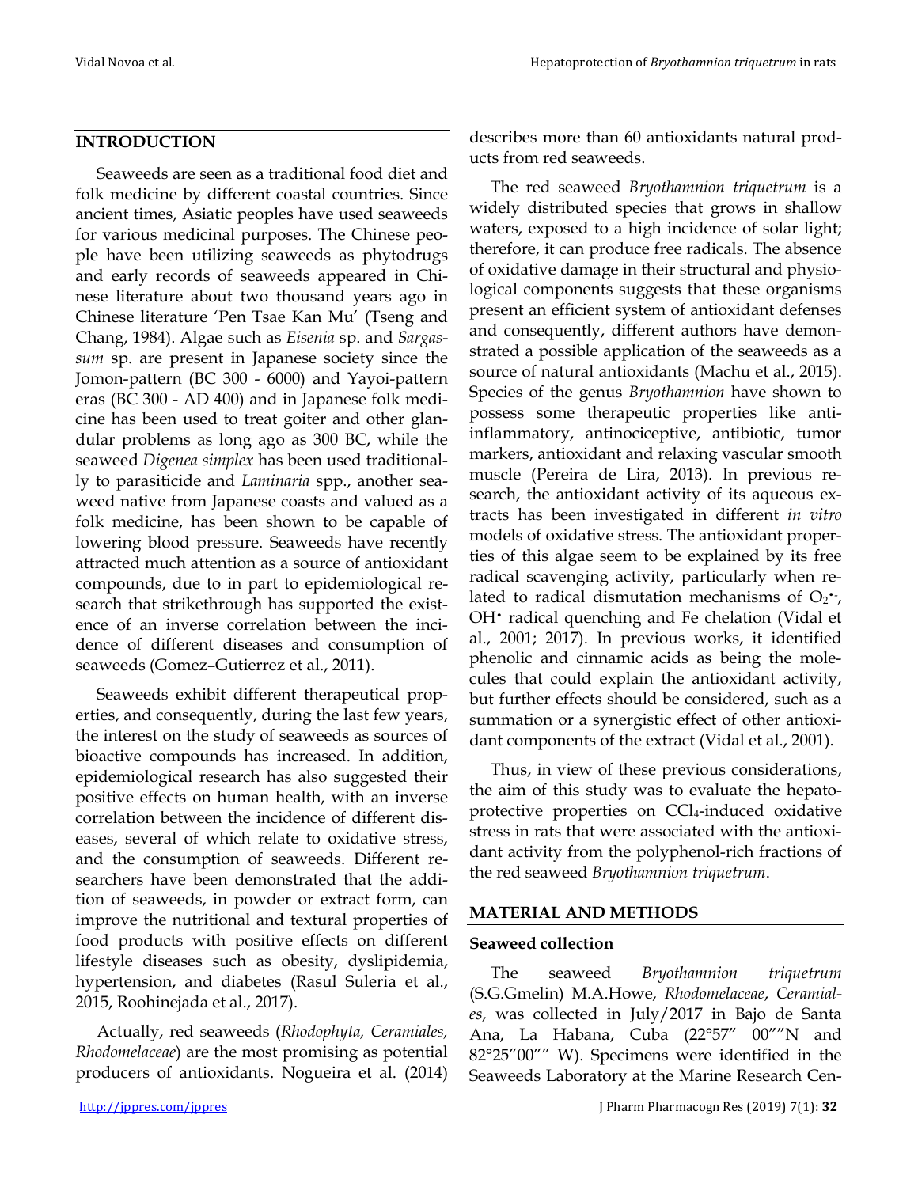#### **INTRODUCTION**

Seaweeds are seen as a traditional food diet and folk medicine by different coastal countries. Since ancient times, Asiatic peoples have used seaweeds for various medicinal purposes. The Chinese people have been utilizing seaweeds as phytodrugs and early records of seaweeds appeared in Chinese literature about two thousand years ago in Chinese literature 'Pen Tsae Kan Mu' (Tseng and Chang, 1984). Algae such as *Eisenia* sp. and *Sargassum* sp. are present in Japanese society since the Jomon-pattern (BC 300 - 6000) and Yayoi-pattern eras (BC 300 - AD 400) and in Japanese folk medicine has been used to treat goiter and other glandular problems as long ago as 300 BC, while the seaweed *Digenea simplex* has been used traditionally to parasiticide and *Laminaria* spp., another seaweed native from Japanese coasts and valued as a folk medicine, has been shown to be capable of lowering blood pressure. Seaweeds have recently attracted much attention as a source of antioxidant compounds, due to in part to epidemiological research that strikethrough has supported the existence of an inverse correlation between the incidence of different diseases and consumption of seaweeds (Gomez–Gutierrez et al., 2011).

Seaweeds exhibit different therapeutical properties, and consequently, during the last few years, the interest on the study of seaweeds as sources of bioactive compounds has increased. In addition, epidemiological research has also suggested their positive effects on human health, with an inverse correlation between the incidence of different diseases, several of which relate to oxidative stress, and the consumption of seaweeds. Different researchers have been demonstrated that the addition of seaweeds, in powder or extract form, can improve the nutritional and textural properties of food products with positive effects on different lifestyle diseases such as obesity, dyslipidemia, hypertension, and diabetes (Rasul Suleria et al., 2015, Roohinejada et al., 2017).

Actually, red seaweeds (*Rhodophyta, Ceramiales, Rhodomelaceae*) are the most promising as potential producers of antioxidants. Nogueira et al. (2014) describes more than 60 antioxidants natural products from red seaweeds.

The red seaweed *Bryothamnion triquetrum* is a widely distributed species that grows in shallow waters, exposed to a high incidence of solar light; therefore, it can produce free radicals. The absence of oxidative damage in their structural and physiological components suggests that these organisms present an efficient system of antioxidant defenses and consequently, different authors have demonstrated a possible application of the seaweeds as a source of natural antioxidants (Machu et al., 2015). Species of the genus *Bryothamnion* have shown to possess some therapeutic properties like antiinflammatory, antinociceptive, antibiotic, tumor markers, antioxidant and relaxing vascular smooth muscle (Pereira de Lira, 2013). In previous research, the antioxidant activity of its aqueous extracts has been investigated in different *in vitro* models of oxidative stress. The antioxidant properties of this algae seem to be explained by its free radical scavenging activity, particularly when related to radical dismutation mechanisms of  $O_2$ , OH• radical quenching and Fe chelation (Vidal et al., 2001; 2017). In previous works, it identified phenolic and cinnamic acids as being the molecules that could explain the antioxidant activity, but further effects should be considered, such as a summation or a synergistic effect of other antioxidant components of the extract (Vidal et al., 2001).

Thus, in view of these previous considerations, the aim of this study was to evaluate the hepatoprotective properties on CCl4-induced oxidative stress in rats that were associated with the antioxidant activity from the polyphenol-rich fractions of the red seaweed *Bryothamnion triquetrum*.

#### **MATERIAL AND METHODS**

#### **Seaweed collection**

The seaweed *Bryothamnion triquetrum* (S.G.Gmelin) M.A.Howe, *Rhodomelaceae*, *Ceramiales*, was collected in July/2017 in Bajo de Santa Ana, La Habana, Cuba (22°57" 00""N and 82°25"00"" W). Specimens were identified in the Seaweeds Laboratory at the Marine Research Cen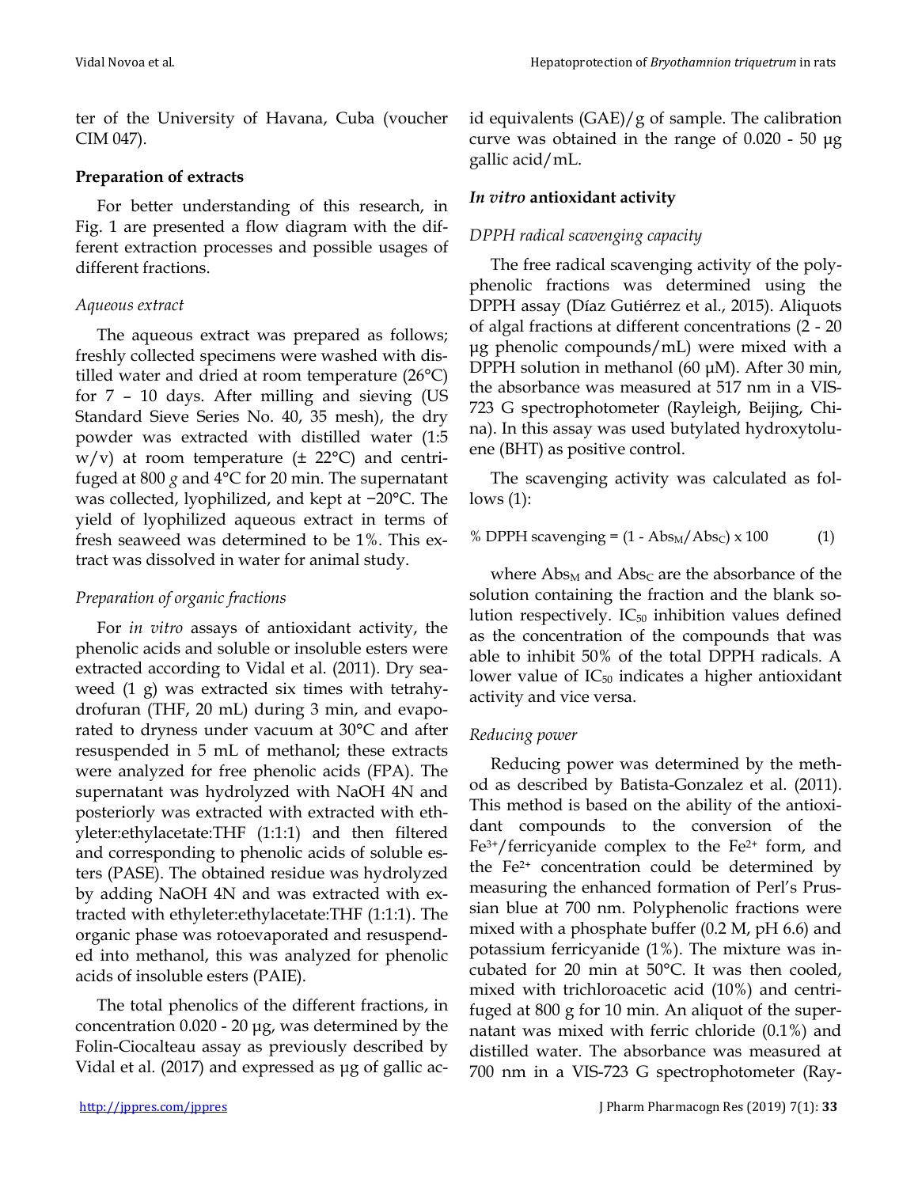ter of the University of Havana, Cuba (voucher CIM 047).

### **Preparation of extracts**

For better understanding of this research, in Fig. 1 are presented a flow diagram with the different extraction processes and possible usages of different fractions.

### *Aqueous extract*

The aqueous extract was prepared as follows; freshly collected specimens were washed with distilled water and dried at room temperature (26°C) for 7 – 10 days. After milling and sieving (US Standard Sieve Series No. 40, 35 mesh), the dry powder was extracted with distilled water (1:5  $w/v$ ) at room temperature ( $\pm$  22°C) and centrifuged at 800 *g* and 4°C for 20 min. The supernatant was collected, lyophilized, and kept at −20°C. The yield of lyophilized aqueous extract in terms of fresh seaweed was determined to be 1%. This extract was dissolved in water for animal study.

## *Preparation of organic fractions*

For *in vitro* assays of antioxidant activity, the phenolic acids and soluble or insoluble esters were extracted according to Vidal et al. (2011). Dry seaweed (1 g) was extracted six times with tetrahydrofuran (THF, 20 mL) during 3 min, and evaporated to dryness under vacuum at 30°C and after resuspended in 5 mL of methanol; these extracts were analyzed for free phenolic acids (FPA). The supernatant was hydrolyzed with NaOH 4N and posteriorly was extracted with extracted with ethyleter:ethylacetate:THF (1:1:1) and then filtered and corresponding to phenolic acids of soluble esters (PASE). The obtained residue was hydrolyzed by adding NaOH 4N and was extracted with extracted with ethyleter:ethylacetate:THF (1:1:1). The organic phase was rotoevaporated and resuspended into methanol, this was analyzed for phenolic acids of insoluble esters (PAIE).

The total phenolics of the different fractions, in concentration 0.020 - 20 μg, was determined by the Folin-Ciocalteau assay as previously described by Vidal et al*.* (2017) and expressed as μg of gallic acid equivalents  $(GAE)/g$  of sample. The calibration curve was obtained in the range of 0.020 - 50 μg gallic acid/mL.

## *In vitro* **antioxidant activity**

### *DPPH radical scavenging capacity*

The free radical scavenging activity of the polyphenolic fractions was determined using the DPPH assay (Díaz Gutiérrez et al., 2015). Aliquots of algal fractions at different concentrations (2 - 20 μg phenolic compounds/mL) were mixed with a DPPH solution in methanol (60 μM). After 30 min, the absorbance was measured at 517 nm in a VIS-723 G spectrophotometer (Rayleigh, Beijing, China). In this assay was used butylated hydroxytoluene (BHT) as positive control.

The scavenging activity was calculated as follows (1):

### % DPPH scavenging =  $(1 - Abs<sub>M</sub>/Abs<sub>C</sub>) \times 100$  (1)

where Abs<sub>M</sub> and Abs<sub>C</sub> are the absorbance of the solution containing the fraction and the blank solution respectively.  $IC_{50}$  inhibition values defined as the concentration of the compounds that was able to inhibit 50% of the total DPPH radicals. A lower value of  $IC_{50}$  indicates a higher antioxidant activity and vice versa.

### *Reducing power*

Reducing power was determined by the method as described by Batista-Gonzalez et al. (2011). This method is based on the ability of the antioxidant compounds to the conversion of the  $Fe<sup>3+</sup>/ferricyanide complex to the Fe<sup>2+</sup> form, and$ the Fe2+ concentration could be determined by measuring the enhanced formation of Perl's Prussian blue at 700 nm. Polyphenolic fractions were mixed with a phosphate buffer (0.2 M, pH 6.6) and potassium ferricyanide (1%). The mixture was incubated for 20 min at 50°C. It was then cooled, mixed with trichloroacetic acid (10%) and centrifuged at 800 g for 10 min. An aliquot of the supernatant was mixed with ferric chloride (0.1%) and distilled water. The absorbance was measured at 700 nm in a VIS-723 G spectrophotometer (Ray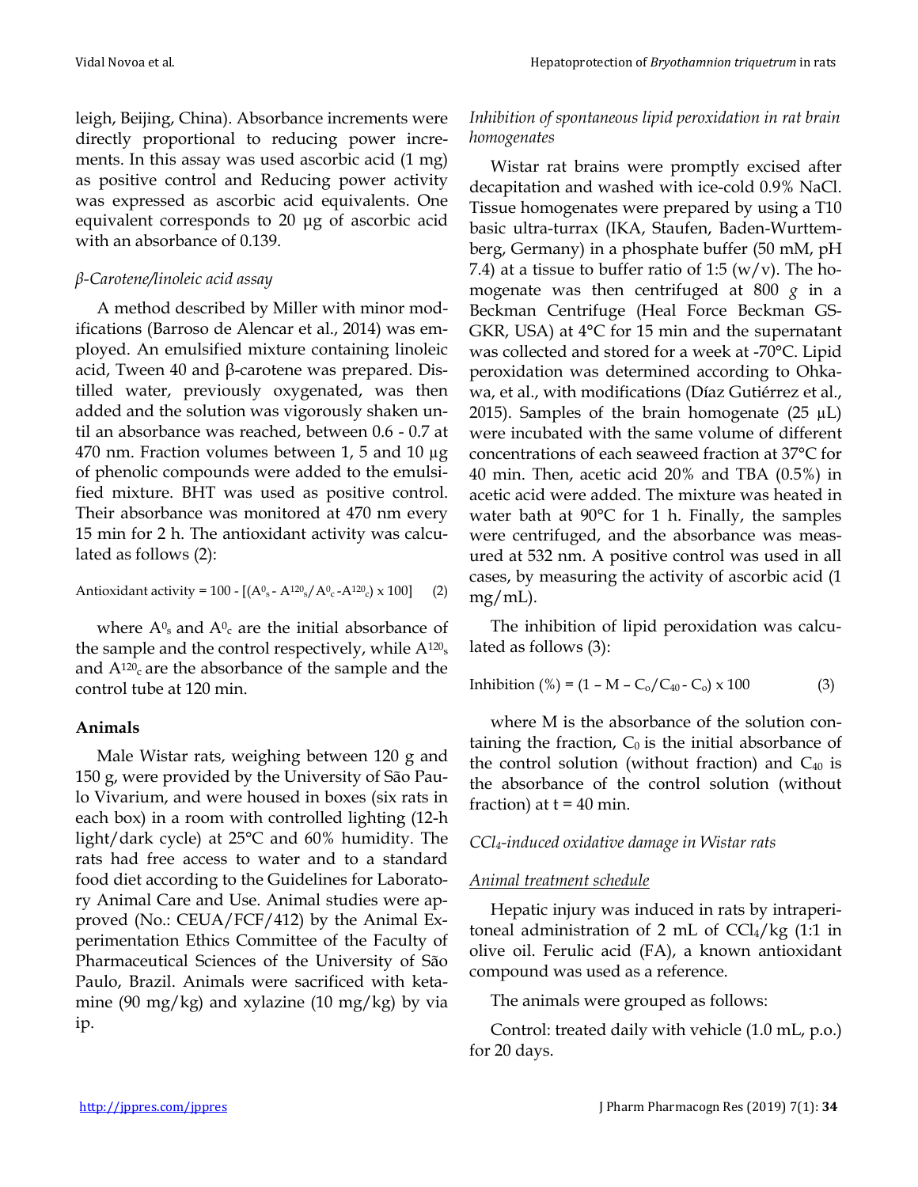leigh, Beijing, China). Absorbance increments were directly proportional to reducing power increments. In this assay was used ascorbic acid (1 mg) as positive control and Reducing power activity was expressed as ascorbic acid equivalents. One equivalent corresponds to 20 μg of ascorbic acid with an absorbance of 0.139.

### *β-Carotene/linoleic acid assay*

A method described by Miller with minor modifications (Barroso de Alencar et al., 2014) was employed. An emulsified mixture containing linoleic acid, Tween 40 and β-carotene was prepared. Distilled water, previously oxygenated, was then added and the solution was vigorously shaken until an absorbance was reached, between 0.6 - 0.7 at 470 nm. Fraction volumes between 1, 5 and 10 µg of phenolic compounds were added to the emulsified mixture. BHT was used as positive control. Their absorbance was monitored at 470 nm every 15 min for 2 h. The antioxidant activity was calculated as follows (2):

Antioxidant activity = 100 - [(A<sup>0</sup> <sup>s</sup> - A<sup>120</sup> <sup>s</sup>/A<sup>0</sup> <sup>c</sup> -A<sup>120</sup> <sup>c</sup>) x 100] (2)

where  $A^0$ <sub>s</sub> and  $A^0$ <sub>c</sub> are the initial absorbance of the sample and the control respectively, while  $A^{120}$ <sub>s</sub> and  $A^{120}$  are the absorbance of the sample and the control tube at 120 min.

### **Animals**

Male Wistar rats, weighing between 120 g and 150 g, were provided by the University of São Paulo Vivarium, and were housed in boxes (six rats in each box) in a room with controlled lighting (12-h light/dark cycle) at 25°C and 60% humidity. The rats had free access to water and to a standard food diet according to the Guidelines for Laboratory Animal Care and Use. Animal studies were approved (No.: CEUA/FCF/412) by the Animal Experimentation Ethics Committee of the Faculty of Pharmaceutical Sciences of the University of São Paulo, Brazil. Animals were sacrificed with ketamine (90 mg/kg) and xylazine (10 mg/kg) by via ip.

#### *Inhibition of spontaneous lipid peroxidation in rat brain homogenates*

Wistar rat brains were promptly excised after decapitation and washed with ice-cold 0.9% NaCl. Tissue homogenates were prepared by using a T10 basic ultra-turrax (IKA, Staufen, Baden-Wurttemberg, Germany) in a phosphate buffer (50 mM, pH 7.4) at a tissue to buffer ratio of 1:5 (w/v). The homogenate was then centrifuged at 800 *g* in a Beckman Centrifuge (Heal Force Beckman GS-GKR, USA) at 4°C for 15 min and the supernatant was collected and stored for a week at -70°C. Lipid peroxidation was determined according to Ohkawa, et al., with modifications (Díaz Gutiérrez et al., 2015). Samples of the brain homogenate  $(25 \mu L)$ were incubated with the same volume of different concentrations of each seaweed fraction at 37°C for 40 min. Then, acetic acid 20% and TBA (0.5%) in acetic acid were added. The mixture was heated in water bath at 90°C for 1 h. Finally, the samples were centrifuged, and the absorbance was measured at 532 nm. A positive control was used in all cases, by measuring the activity of ascorbic acid (1 mg/mL).

The inhibition of lipid peroxidation was calculated as follows (3):

$$
Inhibition (%) = (1 - M - C0/C40 - C0) \times 100
$$
 (3)

where M is the absorbance of the solution containing the fraction,  $C_0$  is the initial absorbance of the control solution (without fraction) and  $C_{40}$  is the absorbance of the control solution (without fraction) at  $t = 40$  min.

### *CCl4-induced oxidative damage in Wistar rats*

### *Animal treatment schedule*

Hepatic injury was induced in rats by intraperitoneal administration of 2 mL of  $CCl_4/kg$  (1:1 in olive oil. Ferulic acid (FA), a known antioxidant compound was used as a reference.

The animals were grouped as follows:

Control: treated daily with vehicle (1.0 mL, p.o.) for 20 days.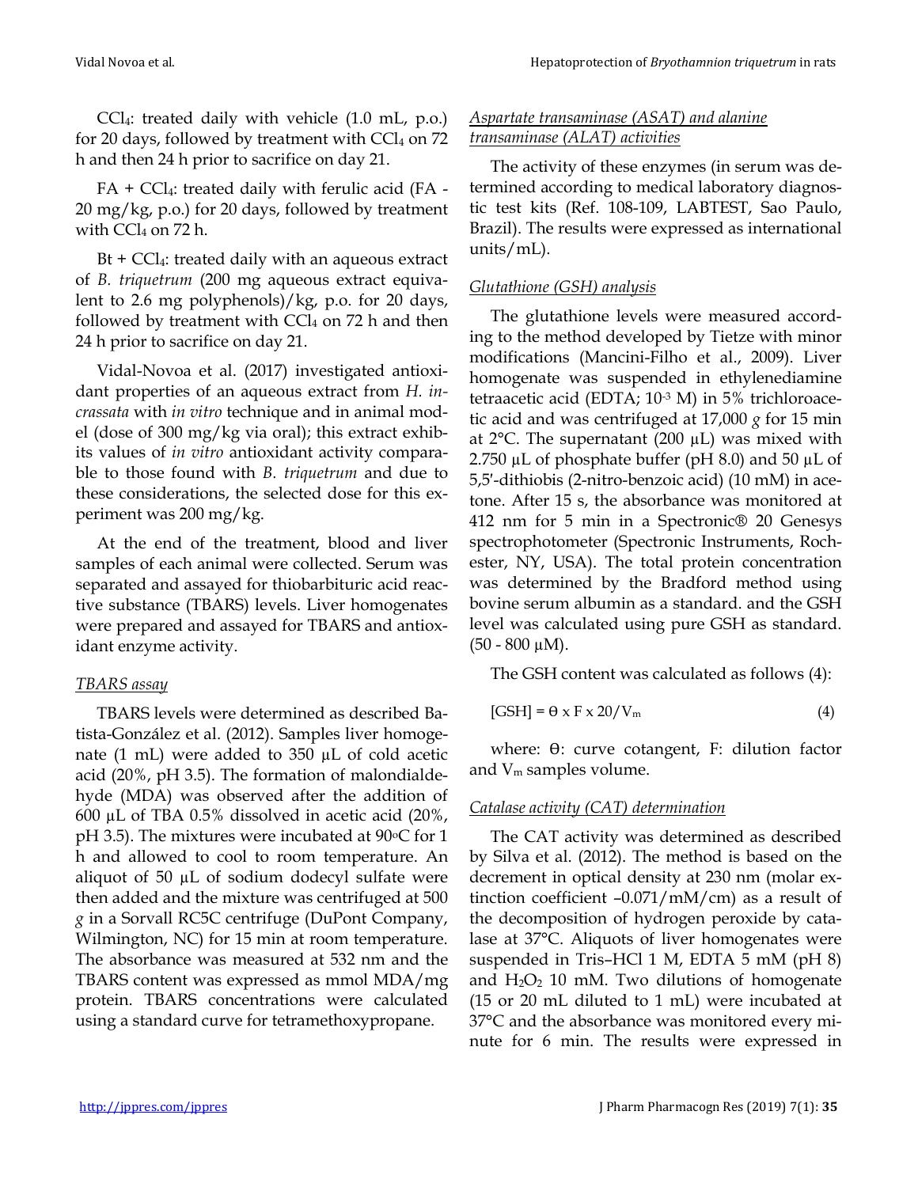CCl4: treated daily with vehicle (1.0 mL, p.o.) for 20 days, followed by treatment with  $CCl<sub>4</sub>$  on 72 h and then 24 h prior to sacrifice on day 21.

 $FA + CCl<sub>4</sub>:$  treated daily with ferulic acid (FA -20 mg/kg, p.o.) for 20 days, followed by treatment with  $CCl<sub>4</sub>$  on 72 h.

 $Bt + CCl<sub>4</sub>:$  treated daily with an aqueous extract of *B. triquetrum* (200 mg aqueous extract equivalent to 2.6 mg polyphenols)/kg, p.o. for 20 days, followed by treatment with  $CCl<sub>4</sub>$  on 72 h and then 24 h prior to sacrifice on day 21.

Vidal-Novoa et al. (2017) investigated antioxidant properties of an aqueous extract from *H. incrassata* with *in vitro* technique and in animal model (dose of 300 mg/kg via oral); this extract exhibits values of *in vitro* antioxidant activity comparable to those found with *B. triquetrum* and due to these considerations, the selected dose for this experiment was 200 mg/kg.

At the end of the treatment, blood and liver samples of each animal were collected. Serum was separated and assayed for thiobarbituric acid reactive substance (TBARS) levels. Liver homogenates were prepared and assayed for TBARS and antioxidant enzyme activity.

#### *TBARS assay*

TBARS levels were determined as described Batista-González et al. (2012). Samples liver homogenate (1 mL) were added to 350 µL of cold acetic acid (20%, pH 3.5). The formation of malondialdehyde (MDA) was observed after the addition of 600 µL of TBA 0.5% dissolved in acetic acid (20%, pH 3.5). The mixtures were incubated at  $90^{\circ}$ C for 1 h and allowed to cool to room temperature. An aliquot of 50 µL of sodium dodecyl sulfate were then added and the mixture was centrifuged at 500 *g* in a Sorvall RC5C centrifuge (DuPont Company, Wilmington, NC) for 15 min at room temperature. The absorbance was measured at 532 nm and the TBARS content was expressed as mmol MDA/mg protein. TBARS concentrations were calculated using a standard curve for tetramethoxypropane.

#### *Aspartate transaminase (ASAT) and alanine transaminase (ALAT) activities*

The activity of these enzymes (in serum was determined according to medical laboratory diagnostic test kits (Ref. 108-109, LABTEST, Sao Paulo, Brazil). The results were expressed as international units/mL).

#### *Glutathione (GSH) analysis*

The glutathione levels were measured according to the method developed by Tietze with minor modifications (Mancini-Filho et al., 2009). Liver homogenate was suspended in ethylenediamine tetraacetic acid (EDTA; 10-3 M) in 5% trichloroacetic acid and was centrifuged at 17,000 *g* for 15 min at  $2^{\circ}$ C. The supernatant (200  $\mu$ L) was mixed with 2.750  $\mu$ L of phosphate buffer (pH 8.0) and 50  $\mu$ L of 5,5′-dithiobis (2-nitro-benzoic acid) (10 mM) in acetone. After 15 s, the absorbance was monitored at 412 nm for 5 min in a Spectronic® 20 Genesys spectrophotometer (Spectronic Instruments, Rochester, NY, USA). The total protein concentration was determined by the Bradford method using bovine serum albumin as a standard. and the GSH level was calculated using pure GSH as standard.  $(50 - 800 \mu M)$ .

The GSH content was calculated as follows (4):

$$
[GSH] = \Theta \times F \times 20/V_{\text{m}} \tag{4}
$$

where: θ: curve cotangent, F: dilution factor and V<sup>m</sup> samples volume.

#### *Catalase activity (CAT) determination*

The CAT activity was determined as described by Silva et al. (2012). The method is based on the decrement in optical density at 230 nm (molar extinction coefficient  $-0.071/mM/cm$ ) as a result of the decomposition of hydrogen peroxide by catalase at 37°C. Aliquots of liver homogenates were suspended in Tris–HCl 1 M, EDTA 5 mM (pH 8) and  $H_2O_2$  10 mM. Two dilutions of homogenate (15 or 20 mL diluted to 1 mL) were incubated at 37°C and the absorbance was monitored every minute for 6 min. The results were expressed in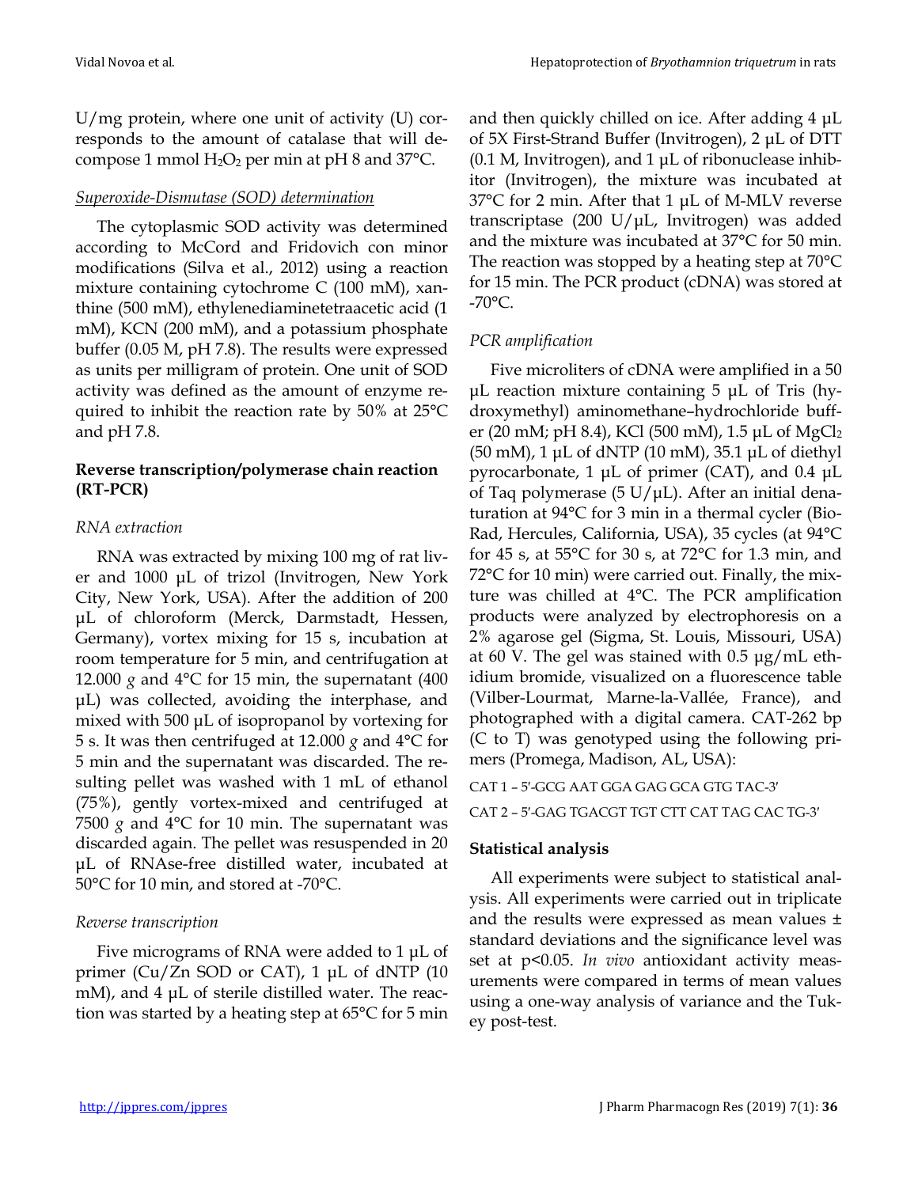U/mg protein, where one unit of activity (U) corresponds to the amount of catalase that will decompose 1 mmol  $H_2O_2$  per min at pH 8 and 37 $^{\circ}$ C.

#### *Superoxide-Dismutase (SOD) determination*

The cytoplasmic SOD activity was determined according to McCord and Fridovich con minor modifications (Silva et al., 2012) using a reaction mixture containing cytochrome C (100 mM), xanthine (500 mM), ethylenediaminetetraacetic acid (1 mM), KCN (200 mM), and a potassium phosphate buffer (0.05 M, pH 7.8). The results were expressed as units per milligram of protein. One unit of SOD activity was defined as the amount of enzyme required to inhibit the reaction rate by 50% at 25°C and pH 7.8.

#### **Reverse transcription/polymerase chain reaction (RT-PCR)**

#### *RNA extraction*

RNA was extracted by mixing 100 mg of rat liver and 1000 μL of trizol (Invitrogen, New York City, New York, USA). After the addition of 200 μL of chloroform (Merck, Darmstadt, Hessen, Germany), vortex mixing for 15 s, incubation at room temperature for 5 min, and centrifugation at 12.000  $g$  and  $4^{\circ}$ C for 15 min, the supernatant (400) μL) was collected, avoiding the interphase, and mixed with 500 μL of isopropanol by vortexing for 5 s. It was then centrifuged at 12.000 *g* and 4°C for 5 min and the supernatant was discarded. The resulting pellet was washed with 1 mL of ethanol (75%), gently vortex-mixed and centrifuged at 7500  $g$  and 4°C for 10 min. The supernatant was discarded again. The pellet was resuspended in 20 μL of RNAse-free distilled water, incubated at 50°C for 10 min, and stored at -70°C.

#### *Reverse transcription*

Five micrograms of RNA were added to 1 μL of primer (Cu/Zn SOD or CAT), 1 μL of dNTP (10 mM), and 4 μL of sterile distilled water. The reaction was started by a heating step at 65°C for 5 min and then quickly chilled on ice. After adding 4 μL of 5X First-Strand Buffer (Invitrogen), 2 μL of DTT (0.1 M, Invitrogen), and 1 μL of ribonuclease inhibitor (Invitrogen), the mixture was incubated at 37°C for 2 min. After that 1 μL of M-MLV reverse transcriptase (200 U/μL, Invitrogen) was added and the mixture was incubated at 37°C for 50 min. The reaction was stopped by a heating step at 70°C for 15 min. The PCR product (cDNA) was stored at -70°C.

#### *PCR amplification*

Five microliters of cDNA were amplified in a 50 μL reaction mixture containing 5 μL of Tris (hydroxymethyl) aminomethane–hydrochloride buffer (20 mM; pH 8.4), KCl (500 mM), 1.5 μL of MgCl<sub>2</sub> (50 mM), 1 μL of dNTP (10 mM), 35.1 μL of diethyl pyrocarbonate, 1 μL of primer (CAT), and 0.4 μL of Taq polymerase (5 U/μL). After an initial denaturation at 94°C for 3 min in a thermal cycler (Bio-Rad, Hercules, California, USA), 35 cycles (at 94°C for 45 s, at 55°C for 30 s, at 72°C for 1.3 min, and 72°C for 10 min) were carried out. Finally, the mixture was chilled at 4°C. The PCR amplification products were analyzed by electrophoresis on a 2% agarose gel (Sigma, St. Louis, Missouri, USA) at 60 V. The gel was stained with 0.5 μg/mL ethidium bromide, visualized on a fluorescence table (Vilber-Lourmat, Marne-la-Vallée, France), and photographed with a digital camera. CAT-262 bp (C to T) was genotyped using the following primers (Promega, Madison, AL, USA):

#### CAT 1 – 5′-GCG AAT GGA GAG GCA GTG TAC-3′

#### CAT 2 – 5′-GAG TGACGT TGT CTT CAT TAG CAC TG-3′

#### **Statistical analysis**

All experiments were subject to statistical analysis. All experiments were carried out in triplicate and the results were expressed as mean values ± standard deviations and the significance level was set at p<0.05. *In vivo* antioxidant activity measurements were compared in terms of mean values using a one-way analysis of variance and the Tukey post-test.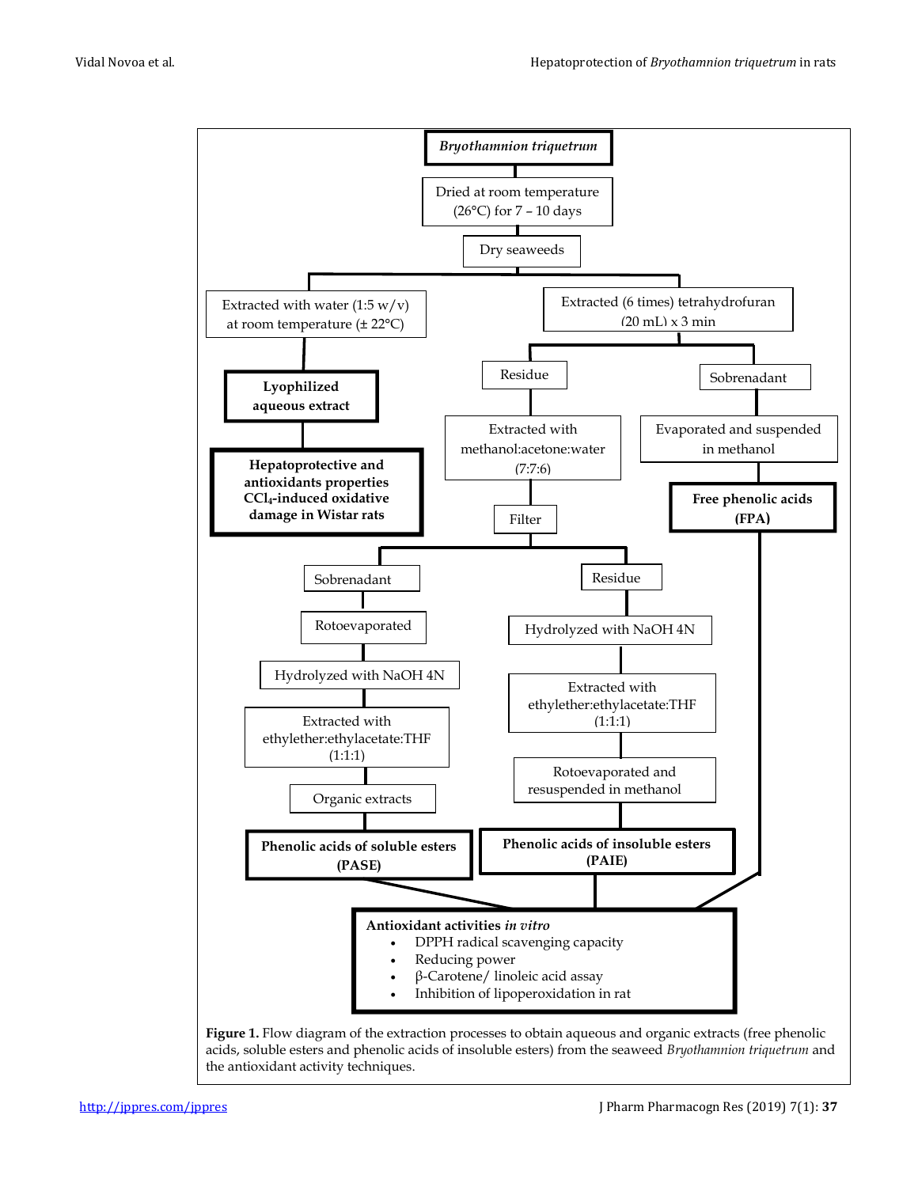

the antioxidant activity techniques.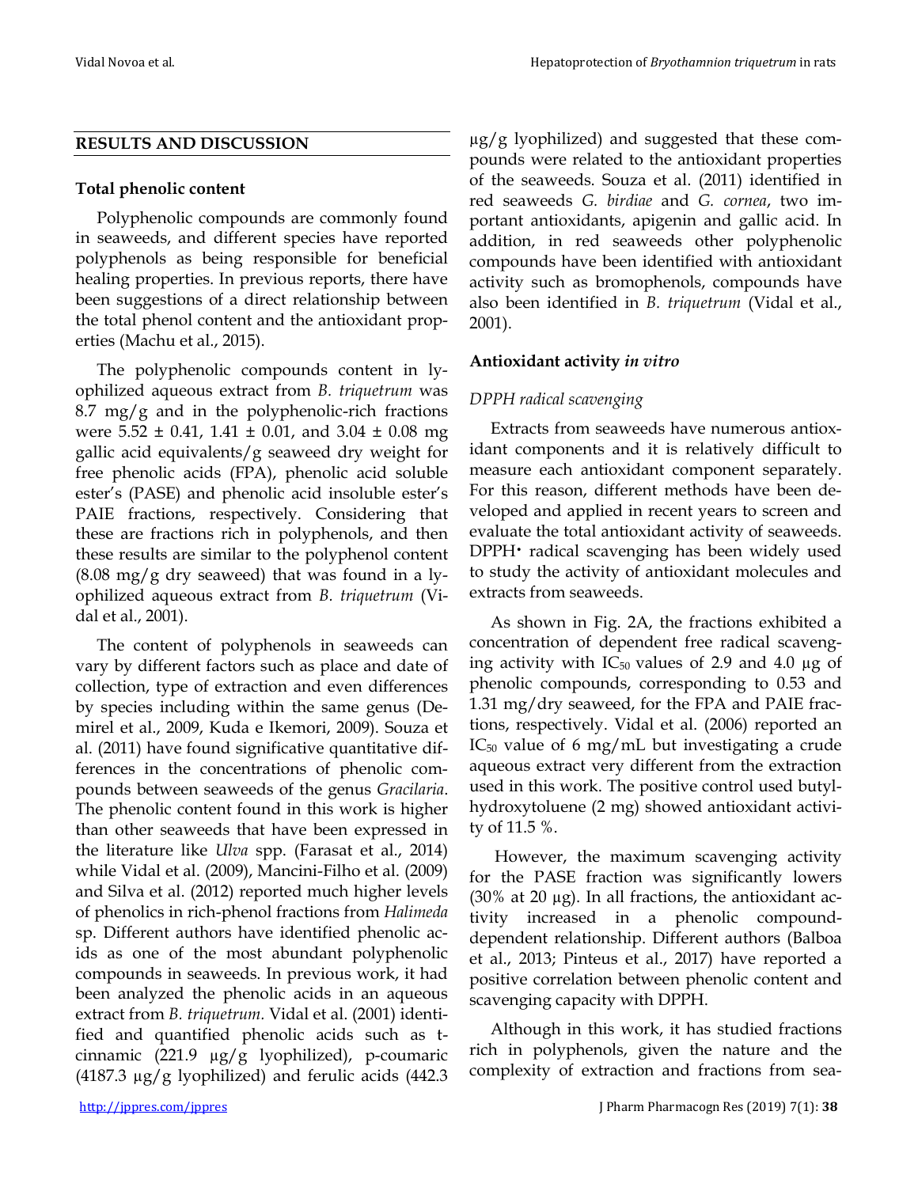µg/g lyophilized) and suggested that these compounds were related to the antioxidant properties

#### **RESULTS AND DISCUSSION**

#### **Total phenolic content**

Polyphenolic compounds are commonly found in seaweeds, and different species have reported polyphenols as being responsible for beneficial healing properties. In previous reports, there have been suggestions of a direct relationship between the total phenol content and the antioxidant properties (Machu et al., 2015).

The polyphenolic compounds content in lyophilized aqueous extract from *B. triquetrum* was 8.7 mg/g and in the polyphenolic-rich fractions were  $5.52 \pm 0.41$ ,  $1.41 \pm 0.01$ , and  $3.04 \pm 0.08$  mg gallic acid equivalents/g seaweed dry weight for free phenolic acids (FPA), phenolic acid soluble ester's (PASE) and phenolic acid insoluble ester's PAIE fractions, respectively. Considering that these are fractions rich in polyphenols, and then these results are similar to the polyphenol content  $(8.08 \text{ mg/g} \text{ dry}$  seaweed) that was found in a lyophilized aqueous extract from *B. triquetrum* (Vidal et al., 2001).

The content of polyphenols in seaweeds can vary by different factors such as place and date of collection, type of extraction and even differences by species including within the same genus (Demirel et al., 2009, Kuda e Ikemori, 2009). Souza et al. (2011) have found significative quantitative differences in the concentrations of phenolic compounds between seaweeds of the genus *Gracilaria*. The phenolic content found in this work is higher than other seaweeds that have been expressed in the literature like *Ulva* spp. (Farasat et al., 2014) while Vidal et al. (2009), Mancini-Filho et al. (2009) and Silva et al. (2012) reported much higher levels of phenolics in rich-phenol fractions from *Halimeda*  sp. Different authors have identified phenolic acids as one of the most abundant polyphenolic compounds in seaweeds. In previous work, it had been analyzed the phenolic acids in an aqueous extract from *B. triquetrum.* Vidal et al. (2001) identified and quantified phenolic acids such as tcinnamic (221.9 µg/g lyophilized), p-coumaric  $(4187.3 \text{ µg/g}$  lyophilized) and ferulic acids  $(442.3 \text{ m})$ 

of the seaweeds. Souza et al. (2011) identified in red seaweeds *G. birdiae* and *G. cornea*, two important antioxidants, apigenin and gallic acid. In addition, in red seaweeds other polyphenolic compounds have been identified with antioxidant activity such as bromophenols, compounds have also been identified in *B. triquetrum* (Vidal et al., 2001). **Antioxidant activity** *in vitro*

#### *DPPH radical scavenging*

Extracts from seaweeds have numerous antioxidant components and it is relatively difficult to measure each antioxidant component separately. For this reason, different methods have been developed and applied in recent years to screen and evaluate the total antioxidant activity of seaweeds. DPPH• radical scavenging has been widely used to study the activity of antioxidant molecules and extracts from seaweeds.

As shown in Fig. 2A, the fractions exhibited a concentration of dependent free radical scavenging activity with  $IC_{50}$  values of 2.9 and 4.0  $\mu$ g of phenolic compounds, corresponding to 0.53 and 1.31 mg/dry seaweed, for the FPA and PAIE fractions, respectively. Vidal et al. (2006) reported an  $IC_{50}$  value of 6 mg/mL but investigating a crude aqueous extract very different from the extraction used in this work. The positive control used butylhydroxytoluene (2 mg) showed antioxidant activity of 11.5 %.

However, the maximum scavenging activity for the PASE fraction was significantly lowers (30% at 20  $\mu$ g). In all fractions, the antioxidant activity increased in a phenolic compounddependent relationship. Different authors (Balboa et al., 2013; Pinteus et al., 2017) have reported a positive correlation between phenolic content and scavenging capacity with DPPH.

Although in this work, it has studied fractions rich in polyphenols, given the nature and the complexity of extraction and fractions from sea-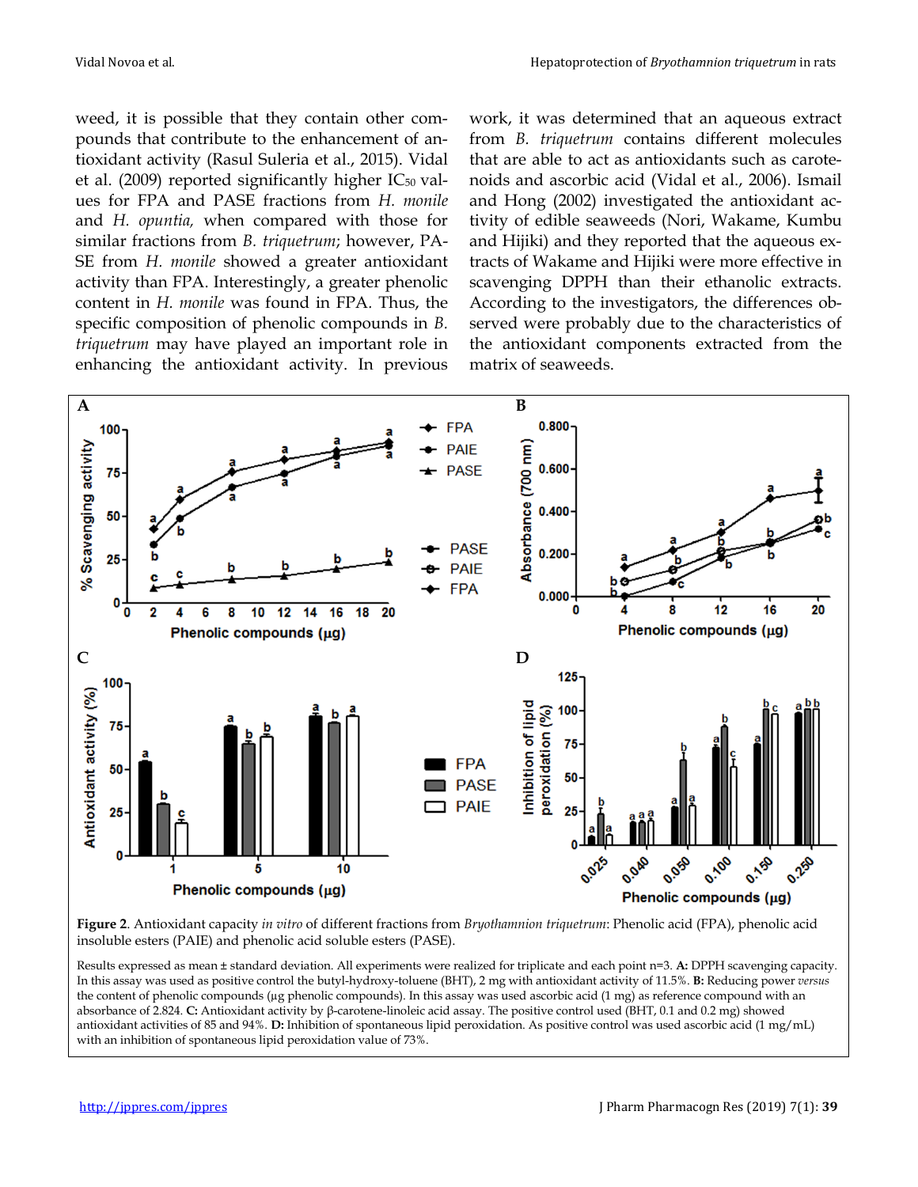weed, it is possible that they contain other compounds that contribute to the enhancement of antioxidant activity (Rasul Suleria et al., 2015). Vidal et al. (2009) reported significantly higher  $IC_{50}$  values for FPA and PASE fractions from *H. monile* and *H. opuntia,* when compared with those for similar fractions from *B. triquetrum*; however, PA-SE from *H. monile* showed a greater antioxidant activity than FPA. Interestingly, a greater phenolic content in *H. monile* was found in FPA*.* Thus, the specific composition of phenolic compounds in *B. triquetrum* may have played an important role in enhancing the antioxidant activity. In previous work, it was determined that an aqueous extract from *B. triquetrum* contains different molecules that are able to act as antioxidants such as carotenoids and ascorbic acid (Vidal et al., 2006). Ismail and Hong (2002) investigated the antioxidant activity of edible seaweeds (Nori, Wakame, Kumbu and Hijiki) and they reported that the aqueous extracts of Wakame and Hijiki were more effective in scavenging DPPH than their ethanolic extracts. According to the investigators, the differences observed were probably due to the characteristics of the antioxidant components extracted from the matrix of seaweeds.



**Figure 2**. Antioxidant capacity *in vitro* of different fractions from *Bryothamnion triquetrum*: Phenolic acid (FPA), phenolic acid insoluble esters (PAIE) and phenolic acid soluble esters (PASE).

Results expressed as mean ± standard deviation. All experiments were realized for triplicate and each point n=3. **A:** DPPH scavenging capacity. In this assay was used as positive control the butyl-hydroxy-toluene (BHT), 2 mg with antioxidant activity of 11.5%. **B:** Reducing power *versus* the content of phenolic compounds (µg phenolic compounds). In this assay was used ascorbic acid (1 mg) as reference compound with an absorbance of 2.824. **C:** Antioxidant activity by β-carotene-linoleic acid assay. The positive control used (BHT, 0.1 and 0.2 mg) showed antioxidant activities of 85 and 94%. **D:** Inhibition of spontaneous lipid peroxidation. As positive control was used ascorbic acid (1 mg/mL) with an inhibition of spontaneous lipid peroxidation value of 73%.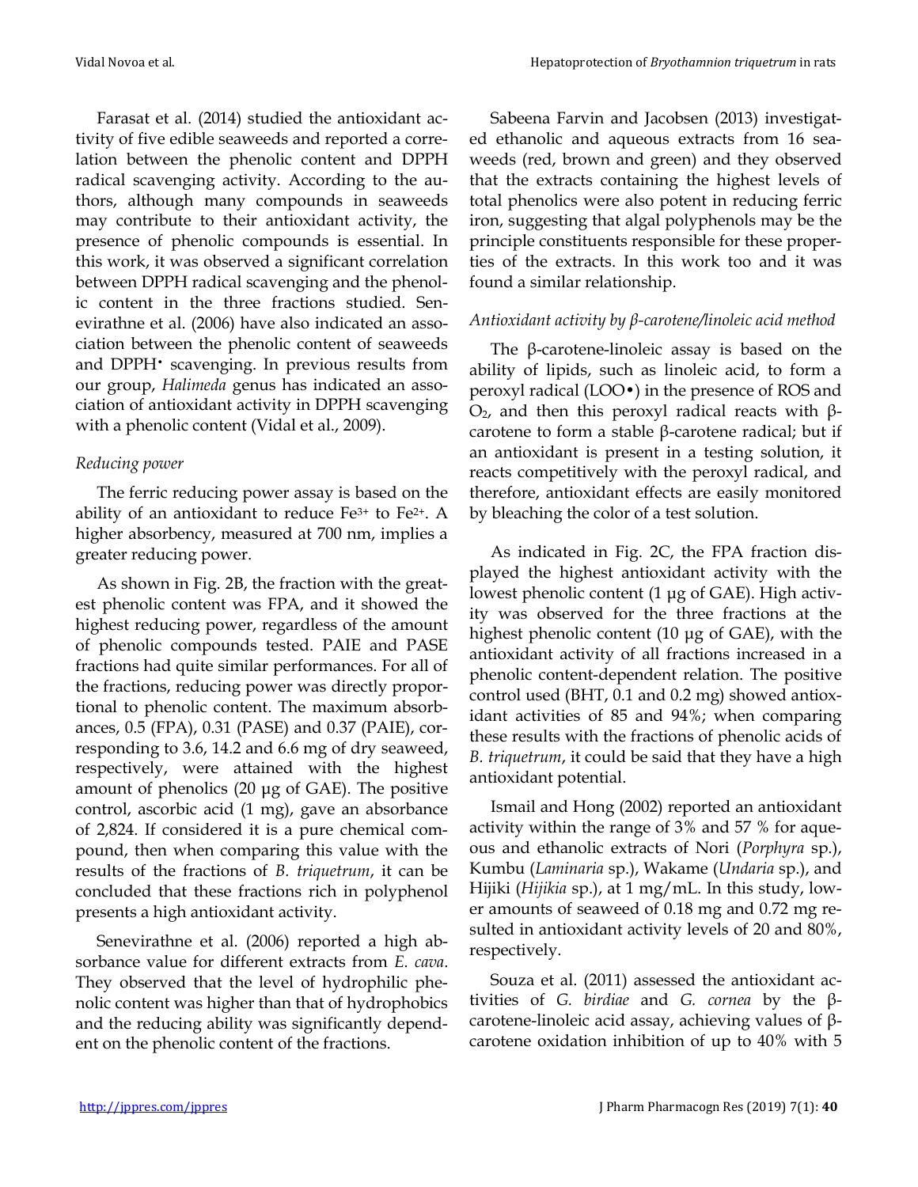Farasat et al. (2014) studied the antioxidant activity of five edible seaweeds and reported a correlation between the phenolic content and DPPH radical scavenging activity. According to the authors, although many compounds in seaweeds may contribute to their antioxidant activity, the presence of phenolic compounds is essential. In this work, it was observed a significant correlation between DPPH radical scavenging and the phenolic content in the three fractions studied. Senevirathne et al. (2006) have also indicated an association between the phenolic content of seaweeds and DPPH• scavenging. In previous results from our group, *Halimeda* genus has indicated an association of antioxidant activity in DPPH scavenging with a phenolic content (Vidal et al., 2009).

#### *Reducing power*

The ferric reducing power assay is based on the ability of an antioxidant to reduce Fe3+ to Fe2+. A higher absorbency, measured at 700 nm, implies a greater reducing power.

As shown in Fig. 2B, the fraction with the greatest phenolic content was FPA, and it showed the highest reducing power, regardless of the amount of phenolic compounds tested. PAIE and PASE fractions had quite similar performances. For all of the fractions, reducing power was directly proportional to phenolic content. The maximum absorbances, 0.5 (FPA), 0.31 (PASE) and 0.37 (PAIE), corresponding to 3.6, 14.2 and 6.6 mg of dry seaweed, respectively, were attained with the highest amount of phenolics (20 μg of GAE). The positive control, ascorbic acid (1 mg), gave an absorbance of 2,824. If considered it is a pure chemical compound, then when comparing this value with the results of the fractions of *B. triquetrum*, it can be concluded that these fractions rich in polyphenol presents a high antioxidant activity.

Senevirathne et al. (2006) reported a high absorbance value for different extracts from *E. cava*. They observed that the level of hydrophilic phenolic content was higher than that of hydrophobics and the reducing ability was significantly dependent on the phenolic content of the fractions.

Sabeena Farvin and Jacobsen (2013) investigated ethanolic and aqueous extracts from 16 seaweeds (red, brown and green) and they observed that the extracts containing the highest levels of total phenolics were also potent in reducing ferric iron, suggesting that algal polyphenols may be the principle constituents responsible for these properties of the extracts. In this work too and it was found a similar relationship.

#### *Antioxidant activity by β-carotene/linoleic acid method*

The β-carotene-linoleic assay is based on the ability of lipids, such as linoleic acid, to form a peroxyl radical (LOO•) in the presence of ROS and  $O<sub>2</sub>$ , and then this peroxyl radical reacts with βcarotene to form a stable β-carotene radical; but if an antioxidant is present in a testing solution, it reacts competitively with the peroxyl radical, and therefore, antioxidant effects are easily monitored by bleaching the color of a test solution.

As indicated in Fig. 2C, the FPA fraction displayed the highest antioxidant activity with the lowest phenolic content (1 μg of GAE). High activity was observed for the three fractions at the highest phenolic content (10 μg of GAE), with the antioxidant activity of all fractions increased in a phenolic content-dependent relation. The positive control used (BHT, 0.1 and 0.2 mg) showed antioxidant activities of 85 and 94%; when comparing these results with the fractions of phenolic acids of *B. triquetrum*, it could be said that they have a high antioxidant potential.

Ismail and Hong (2002) reported an antioxidant activity within the range of 3% and 57 % for aqueous and ethanolic extracts of Nori (*Porphyra* sp.), Kumbu (*Laminaria* sp.), Wakame (*Undaria* sp.), and Hijiki (*Hijikia* sp.), at 1 mg/mL. In this study, lower amounts of seaweed of 0.18 mg and 0.72 mg resulted in antioxidant activity levels of 20 and 80%, respectively.

Souza et al. (2011) assessed the antioxidant activities of *G. birdiae* and *G. cornea* by the βcarotene-linoleic acid assay, achieving values of βcarotene oxidation inhibition of up to 40% with 5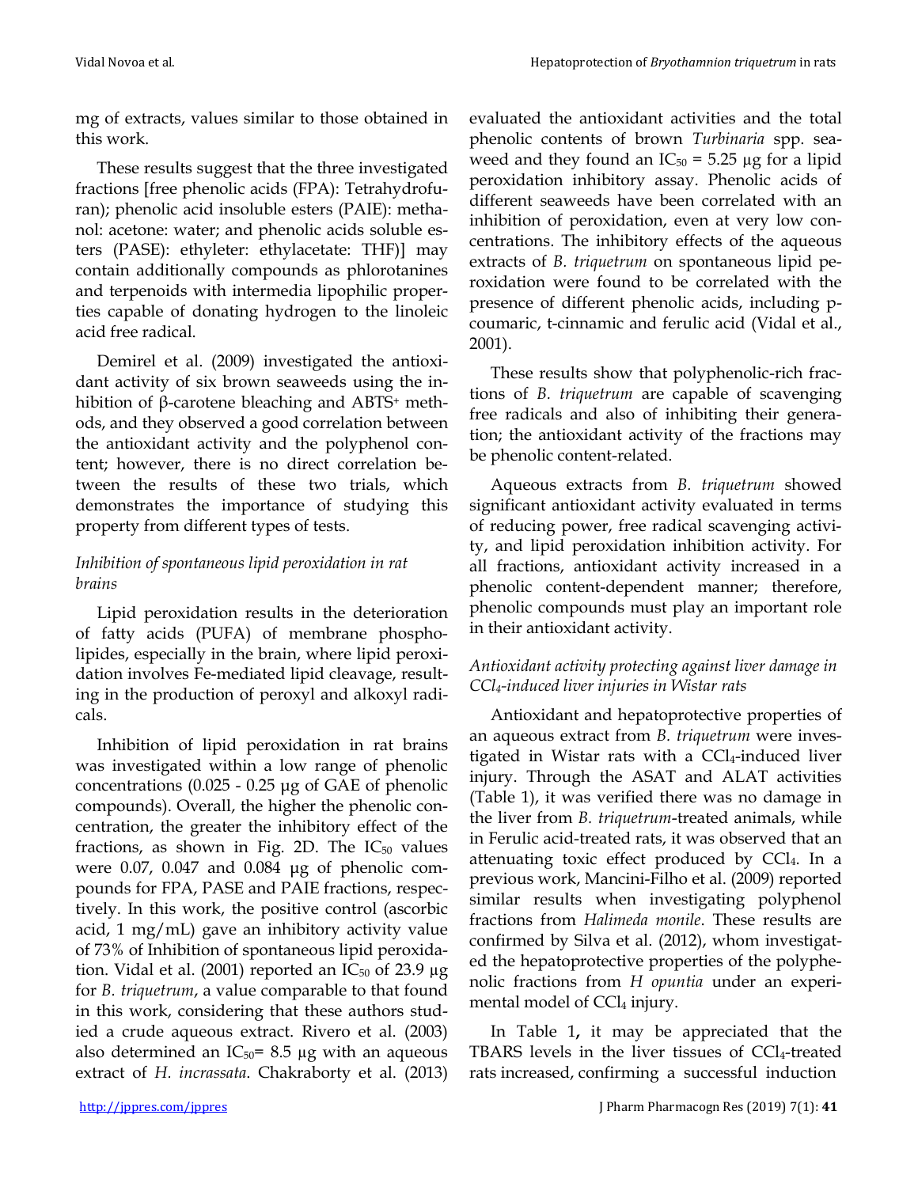mg of extracts, values similar to those obtained in this work.

These results suggest that the three investigated fractions [free phenolic acids (FPA): Tetrahydrofuran); phenolic acid insoluble esters (PAIE): methanol: acetone: water; and phenolic acids soluble esters (PASE): ethyleter: ethylacetate: THF)] may contain additionally compounds as phlorotanines and terpenoids with intermedia lipophilic properties capable of donating hydrogen to the linoleic acid free radical.

Demirel et al. (2009) investigated the antioxidant activity of six brown seaweeds using the inhibition of β-carotene bleaching and ABTS<sup>+</sup> methods, and they observed a good correlation between the antioxidant activity and the polyphenol content; however, there is no direct correlation between the results of these two trials, which demonstrates the importance of studying this property from different types of tests.

### *Inhibition of spontaneous lipid peroxidation in rat brains*

Lipid peroxidation results in the deterioration of fatty acids (PUFA) of membrane phospholipides, especially in the brain, where lipid peroxidation involves Fe-mediated lipid cleavage, resulting in the production of peroxyl and alkoxyl radicals.

Inhibition of lipid peroxidation in rat brains was investigated within a low range of phenolic concentrations (0.025 - 0.25 μg of GAE of phenolic compounds). Overall, the higher the phenolic concentration, the greater the inhibitory effect of the fractions, as shown in Fig. 2D. The  $IC_{50}$  values were 0.07, 0.047 and 0.084 μg of phenolic compounds for FPA, PASE and PAIE fractions, respectively. In this work, the positive control (ascorbic acid, 1 mg/mL) gave an inhibitory activity value of 73% of Inhibition of spontaneous lipid peroxidation. Vidal et al. (2001) reported an  $IC_{50}$  of 23.9  $\mu$ g for *B. triquetrum*, a value comparable to that found in this work, considering that these authors studied a crude aqueous extract. Rivero et al. (2003) also determined an  $IC_{50}$ = 8.5 µg with an aqueous extract of *H. incrassata*. Chakraborty et al. (2013) evaluated the antioxidant activities and the total phenolic contents of brown *Turbinaria* spp. seaweed and they found an  $IC_{50} = 5.25 \mu g$  for a lipid peroxidation inhibitory assay. Phenolic acids of different seaweeds have been correlated with an inhibition of peroxidation, even at very low concentrations. The inhibitory effects of the aqueous extracts of *B. triquetrum* on spontaneous lipid peroxidation were found to be correlated with the presence of different phenolic acids, including pcoumaric, t-cinnamic and ferulic acid (Vidal et al., 2001).

These results show that polyphenolic-rich fractions of *B. triquetrum* are capable of scavenging free radicals and also of inhibiting their generation; the antioxidant activity of the fractions may be phenolic content-related.

Aqueous extracts from *B. triquetrum* showed significant antioxidant activity evaluated in terms of reducing power, free radical scavenging activity, and lipid peroxidation inhibition activity. For all fractions, antioxidant activity increased in a phenolic content-dependent manner; therefore, phenolic compounds must play an important role in their antioxidant activity.

#### *Antioxidant activity protecting against liver damage in CCl4-induced liver injuries in Wistar rats*

Antioxidant and hepatoprotective properties of an aqueous extract from *B. triquetrum* were investigated in Wistar rats with a  $CCl_4$ -induced liver injury. Through the ASAT and ALAT activities (Table 1), it was verified there was no damage in the liver from *B. triquetrum*-treated animals, while in Ferulic acid-treated rats, it was observed that an attenuating toxic effect produced by CCl4. In a previous work, Mancini-Filho et al. (2009) reported similar results when investigating polyphenol fractions from *Halimeda monile*. These results are confirmed by Silva et al. (2012), whom investigated the hepatoprotective properties of the polyphenolic fractions from *H opuntia* under an experimental model of CCl<sub>4</sub> injury.

In Table 1**,** it may be appreciated that the TBARS levels in the liver tissues of CCl4-treated rats increased, confirming a successful induction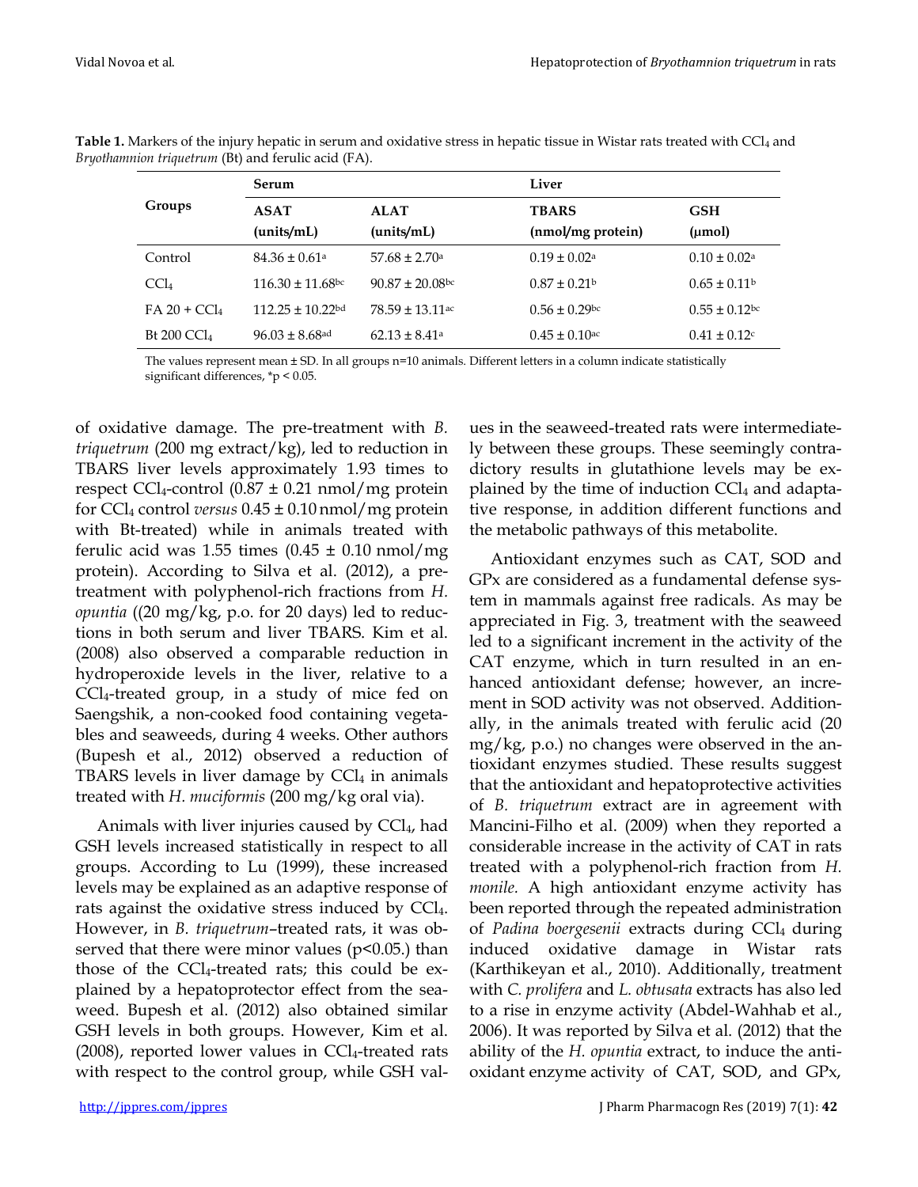| Groups                  | Serum                          |                          | Liver                         |                              |  |  |
|-------------------------|--------------------------------|--------------------------|-------------------------------|------------------------------|--|--|
|                         | <b>ASAT</b>                    | <b>ALAT</b>              | <b>TBARS</b>                  | <b>GSH</b>                   |  |  |
|                         | (units/mL)                     | (units/mL)               | (nmol/mg protein)             | $(\mu mol)$                  |  |  |
| Control                 | $84.36 \pm 0.61$ <sup>a</sup>  | $57.68 \pm 2.70$ a       | $0.19 \pm 0.02$ <sup>a</sup>  | $0.10 \pm 0.02$ <sup>a</sup> |  |  |
| CCl <sub>4</sub>        | $116.30 \pm 11.68$ bc          | $90.87 \pm 20.08$ bc     | $0.87 \pm 0.21$               | $0.65 \pm 0.11$              |  |  |
| $FA 20 + CCl4$          | $112.25 \pm 10.22$ bd          | $78.59 \pm 13.11$ ac     | $0.56 \pm 0.29$ bc            | $0.55 \pm 0.12$ bc           |  |  |
| Bt 200 CCl <sub>4</sub> | $96.03 \pm 8.68$ <sup>ad</sup> | $62.13 \pm 8.41^{\circ}$ | $0.45 \pm 0.10$ <sup>ac</sup> | $0.41 \pm 0.12$              |  |  |

**Table 1.** Markers of the injury hepatic in serum and oxidative stress in hepatic tissue in Wistar rats treated with CCl<sub>4</sub> and *Bryothamnion triquetrum* (Bt) and ferulic acid (FA).

The values represent mean ± SD. In all groups n=10 animals. Different letters in a column indicate statistically significant differences, \*p < 0.05.

of oxidative damage. The pre-treatment with *B. triquetrum* (200 mg extract/kg), led to reduction in TBARS liver levels approximately 1.93 times to respect CCl<sub>4</sub>-control  $(0.87 \pm 0.21 \text{ nmol/mg}$  protein for CCl<sup>4</sup> control *versus* 0.45 ± 0.10 nmol/mg protein with Bt-treated) while in animals treated with ferulic acid was 1.55 times  $(0.45 \pm 0.10 \text{ nmol/mg})$ protein). According to Silva et al. (2012), a pretreatment with polyphenol-rich fractions from *H. opuntia* ((20 mg/kg, p.o. for 20 days) led to reductions in both serum and liver TBARS. Kim et al. (2008) also observed a comparable reduction in hydroperoxide levels in the liver, relative to a CCl4-treated group, in a study of mice fed on Saengshik, a non-cooked food containing vegetables and seaweeds, during 4 weeks. Other authors (Bupesh et al., 2012) observed a reduction of TBARS levels in liver damage by  $CCl<sub>4</sub>$  in animals treated with *H. muciformis* (200 mg/kg oral via).

Animals with liver injuries caused by CCl<sub>4</sub>, had GSH levels increased statistically in respect to all groups. According to Lu (1999), these increased levels may be explained as an adaptive response of rats against the oxidative stress induced by CCl<sub>4</sub>. However, in *B. triquetrum*–treated rats, it was observed that there were minor values ( $p$ <0.05.) than those of the  $\text{CC}l_4$ -treated rats; this could be explained by a hepatoprotector effect from the seaweed. Bupesh et al. (2012) also obtained similar GSH levels in both groups. However, Kim et al.  $(2008)$ , reported lower values in CCl<sub>4</sub>-treated rats with respect to the control group, while GSH val-

ues in the seaweed-treated rats were intermediately between these groups. These seemingly contradictory results in glutathione levels may be explained by the time of induction  $CCI<sub>4</sub>$  and adaptative response, in addition different functions and the metabolic pathways of this metabolite.

Antioxidant enzymes such as CAT, SOD and GPx are considered as a fundamental defense system in mammals against free radicals. As may be appreciated in Fig. 3, treatment with the seaweed led to a significant increment in the activity of the CAT enzyme, which in turn resulted in an enhanced antioxidant defense; however, an increment in SOD activity was not observed. Additionally, in the animals treated with ferulic acid (20 mg/kg, p.o.) no changes were observed in the antioxidant enzymes studied. These results suggest that the antioxidant and hepatoprotective activities of *B. triquetrum* extract are in agreement with Mancini-Filho et al. (2009) when they reported a considerable increase in the activity of CAT in rats treated with a polyphenol-rich fraction from *H. monile.* A high antioxidant enzyme activity has been reported through the repeated administration of *Padina boergesenii* extracts during CCl4 during induced oxidative damage in Wistar rats (Karthikeyan et al., 2010). Additionally, treatment with *C. prolifera* and *L. obtusata* extracts has also led to a rise in enzyme activity (Abdel-Wahhab et al., 2006). It was reported by Silva et al. (2012) that the ability of the *H. opuntia* extract, to induce the antioxidant enzyme activity of CAT, SOD, and GPx,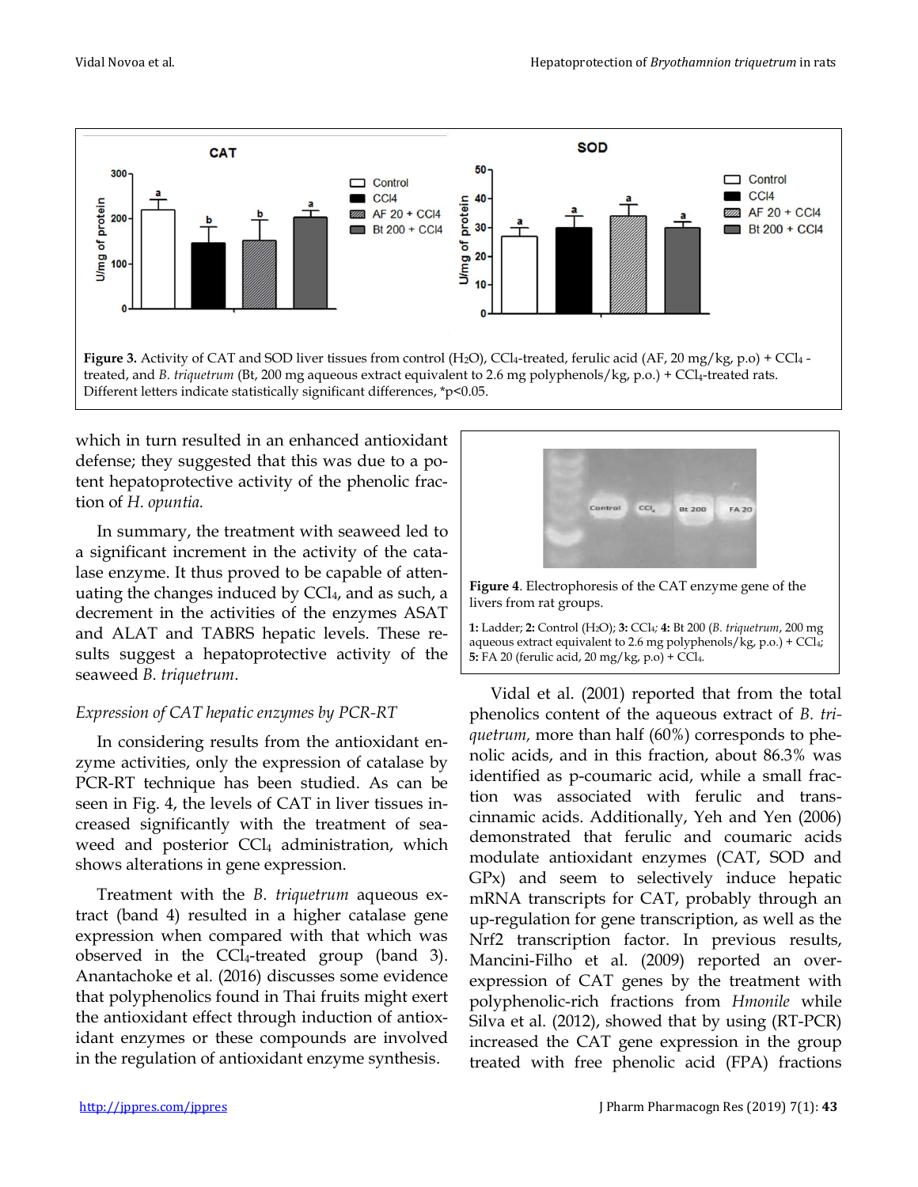

Different letters indicate statistically significant differences, \*p<0.05.

which in turn resulted in an enhanced antioxidant defense; they suggested that this was due to a potent hepatoprotective activity of the phenolic fraction of *H. opuntia.*

In summary, the treatment with seaweed led to a significant increment in the activity of the catalase enzyme. It thus proved to be capable of attenuating the changes induced by CCl<sub>4</sub>, and as such, a decrement in the activities of the enzymes ASAT and ALAT and TABRS hepatic levels. These results suggest a hepatoprotective activity of the seaweed *B. triquetrum*.

#### *Expression of CAT hepatic enzymes by PCR-RT*

In considering results from the antioxidant enzyme activities, only the expression of catalase by PCR-RT technique has been studied. As can be seen in Fig. 4, the levels of CAT in liver tissues increased significantly with the treatment of seaweed and posterior CCl<sub>4</sub> administration, which shows alterations in gene expression.

Treatment with the *B. triquetrum* aqueous extract (band 4) resulted in a higher catalase gene expression when compared with that which was observed in the CCl4-treated group (band 3). Anantachoke et al. (2016) discusses some evidence that polyphenolics found in Thai fruits might exert the antioxidant effect through induction of antioxidant enzymes or these compounds are involved in the regulation of antioxidant enzyme synthesis.



**Figure 4**. Electrophoresis of the CAT enzyme gene of the livers from rat groups.

**1:** Ladder; **2:** Control (H2O); **3:** CCl4*;* **4:** Bt 200 (*B. triquetrum*, 200 mg aqueous extract equivalent to 2.6 mg polyphenols/kg, p.o.) + CCl<sub>4</sub>; **5:** FA 20 (ferulic acid, 20 mg/kg, p.o) + CCl4.

Vidal et al. (2001) reported that from the total phenolics content of the aqueous extract of *B. triquetrum,* more than half (60%) corresponds to phenolic acids, and in this fraction, about 86.3% was identified as p-coumaric acid, while a small fraction was associated with ferulic and transcinnamic acids. Additionally, Yeh and Yen (2006) demonstrated that ferulic and coumaric acids modulate antioxidant enzymes (CAT, SOD and GPx) and seem to selectively induce hepatic mRNA transcripts for CAT, probably through an up-regulation for gene transcription, as well as the Nrf2 transcription factor. In previous results, Mancini-Filho et al. (2009) reported an overexpression of CAT genes by the treatment with polyphenolic-rich fractions from *Hmonile* while Silva et al. (2012), showed that by using (RT-PCR) increased the CAT gene expression in the group treated with free phenolic acid (FPA) fractions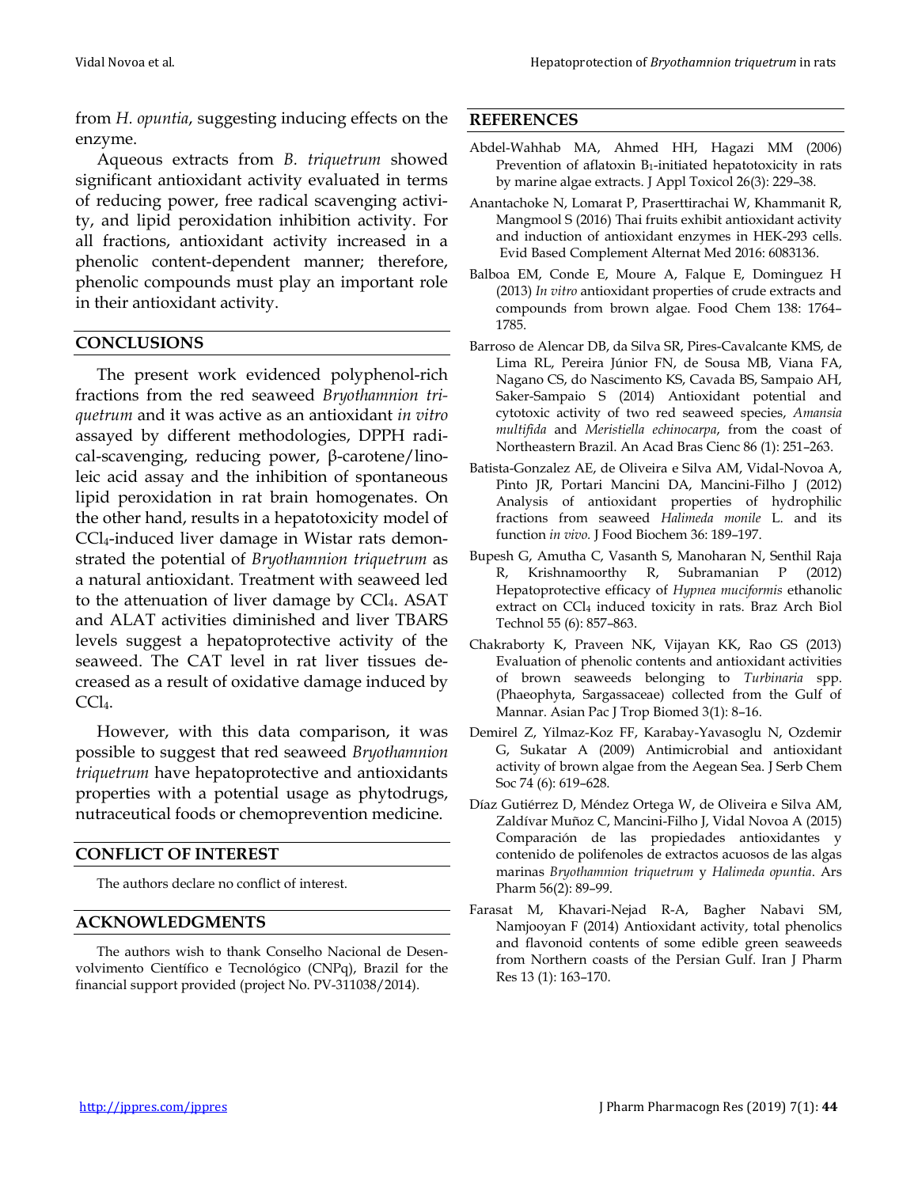from *H. opuntia*, suggesting inducing effects on the enzyme.

Aqueous extracts from *B. triquetrum* showed significant antioxidant activity evaluated in terms of reducing power, free radical scavenging activity, and lipid peroxidation inhibition activity. For all fractions, antioxidant activity increased in a phenolic content-dependent manner; therefore, phenolic compounds must play an important role in their antioxidant activity.

#### **CONCLUSIONS**

The present work evidenced polyphenol-rich fractions from the red seaweed *Bryothamnion triquetrum* and it was active as an antioxidant *in vitro*  assayed by different methodologies, DPPH radical-scavenging, reducing power, β-carotene/linoleic acid assay and the inhibition of spontaneous lipid peroxidation in rat brain homogenates. On the other hand, results in a hepatotoxicity model of CCl4-induced liver damage in Wistar rats demonstrated the potential of *Bryothamnion triquetrum* as a natural antioxidant. Treatment with seaweed led to the attenuation of liver damage by CCl4. ASAT and ALAT activities diminished and liver TBARS levels suggest a hepatoprotective activity of the seaweed. The CAT level in rat liver tissues decreased as a result of oxidative damage induced by CCl4.

However, with this data comparison, it was possible to suggest that red seaweed *Bryothamnion triquetrum* have hepatoprotective and antioxidants properties with a potential usage as phytodrugs, nutraceutical foods or chemoprevention medicine.

#### **CONFLICT OF INTEREST**

The authors declare no conflict of interest.

#### **ACKNOWLEDGMENTS**

The authors wish to thank Conselho Nacional de Desenvolvimento Científico e Tecnológico (CNPq), Brazil for the financial support provided (project No. PV-311038/2014).

#### **REFERENCES**

- Abdel-Wahhab MA, Ahmed HH, Hagazi MM (2006) Prevention of aflatoxin  $B_1$ -initiated hepatotoxicity in rats by marine algae extracts. J Appl Toxicol 26(3): 229–38.
- Anantachoke N, Lomarat P, Praserttirachai W, Khammanit R, Mangmool S (2016) Thai fruits exhibit antioxidant activity and induction of antioxidant enzymes in HEK-293 cells. Evid Based Complement Alternat Med 2016: 6083136.
- Balboa EM, Conde E, Moure A, Falque E, Dominguez H (2013) *In vitro* antioxidant properties of crude extracts and compounds from brown algae. Food Chem 138: 1764– 1785.
- Barroso de Alencar DB, da Silva SR, Pires-Cavalcante KMS, de Lima RL, Pereira Júnior FN, de Sousa MB, Viana FA, Nagano CS, do Nascimento KS, Cavada BS, Sampaio AH, Saker-Sampaio S (2014) Antioxidant potential and cytotoxic activity of two red seaweed species, *Amansia multifida* and *Meristiella echinocarpa*, from the coast of Northeastern Brazil. An Acad Bras Cienc 86 (1): 251–263.
- Batista-Gonzalez AE, de Oliveira e Silva AM, Vidal-Novoa A, Pinto JR, Portari Mancini DA, Mancini-Filho J (2012) Analysis of antioxidant properties of hydrophilic fractions from seaweed *Halimeda monile* L. and its function *in vivo.* J Food Biochem 36: 189–197.
- Bupesh G, Amutha C, Vasanth S, Manoharan N, Senthil Raja R, Krishnamoorthy R, Subramanian P (2012) Hepatoprotective efficacy of *Hypnea muciformis* ethanolic extract on CCl<sub>4</sub> induced toxicity in rats. Braz Arch Biol Technol 55 (6): 857–863.
- Chakraborty K, Praveen NK, Vijayan KK, Rao GS (2013) Evaluation of phenolic contents and antioxidant activities of brown seaweeds belonging to *Turbinaria* spp. (Phaeophyta, Sargassaceae) collected from the Gulf of Mannar. Asian Pac J Trop Biomed 3(1): 8–16.
- Demirel Z, Yilmaz-Koz FF, Karabay-Yavasoglu N, Ozdemir G, Sukatar A (2009) Antimicrobial and antioxidant activity of brown algae from the Aegean Sea. J Serb Chem Soc 74 (6): 619–628.
- Díaz Gutiérrez D, Méndez Ortega W, de Oliveira e Silva AM, Zaldívar Muñoz C, Mancini-Filho J, Vidal Novoa A (2015) Comparación de las propiedades antioxidantes y contenido de polifenoles de extractos acuosos de las algas marinas *Bryothamnion triquetrum* y *Halimeda opuntia*. Ars Pharm 56(2): 89–99.
- Farasat M, Khavari-Nejad R-A, Bagher Nabavi SM, Namjooyan F (2014) Antioxidant activity, total phenolics and flavonoid contents of some edible green seaweeds from Northern coasts of the Persian Gulf. Iran J Pharm Res 13 (1): 163–170.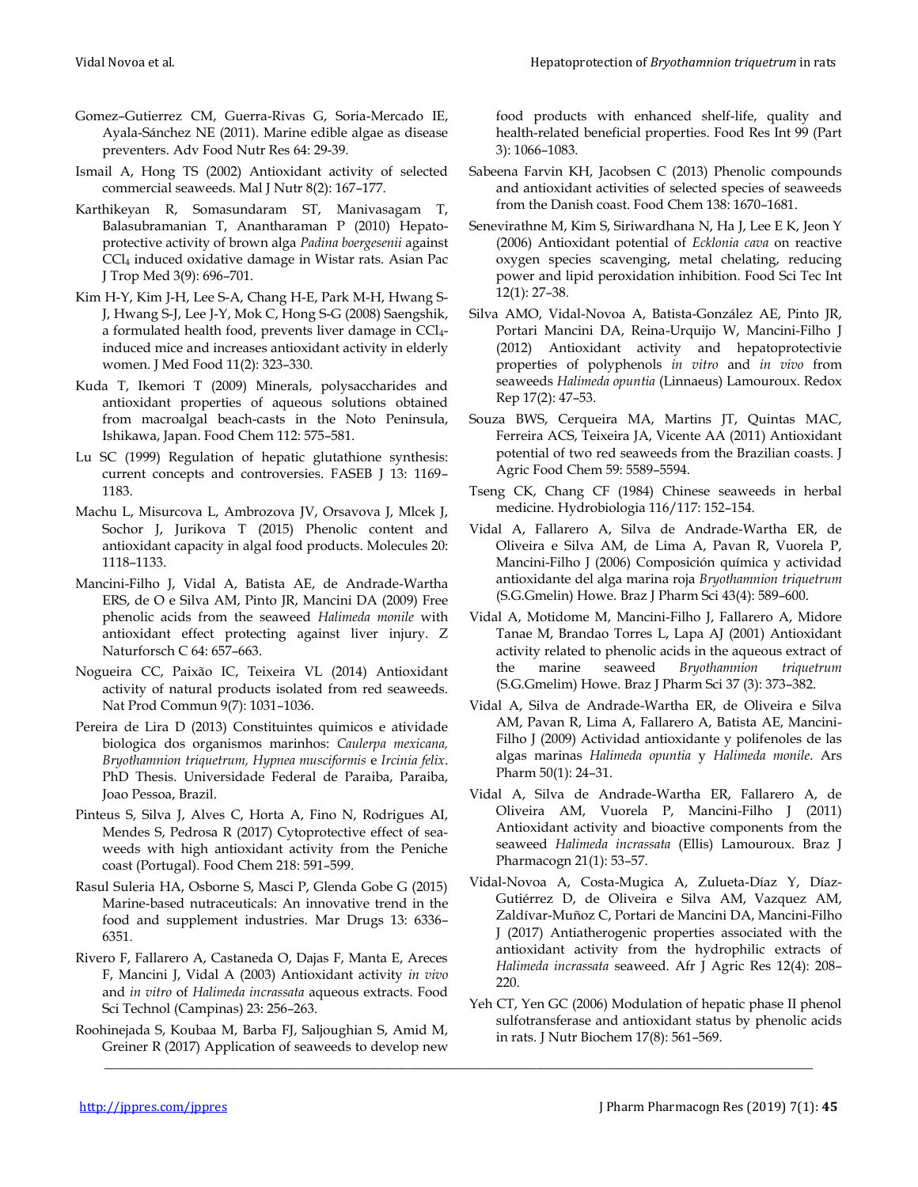- Gomez–Gutierrez CM, Guerra-Rivas G, Soria-Mercado IE, Ayala-Sánchez NE (2011). Marine edible algae as disease preventers. Adv Food Nutr Res 64: 29-39.
- Ismail A, Hong TS (2002) Antioxidant activity of selected commercial seaweeds. Mal J Nutr 8(2): 167–177.
- Karthikeyan R, Somasundaram ST, Manivasagam T, Balasubramanian T, Anantharaman P (2010) Hepatoprotective activity of brown alga *Padina boergesenii* against CCl<sup>4</sup> induced oxidative damage in Wistar rats. Asian Pac J Trop Med 3(9): 696–701.
- Kim H-Y, Kim J-H, Lee S-A, Chang H-E, Park M-H, Hwang S-J, Hwang S-J, Lee J-Y, Mok C, Hong S-G (2008) Saengshik, a formulated health food, prevents liver damage in CCl4 induced mice and increases antioxidant activity in elderly women. J Med Food 11(2): 323–330.
- Kuda T, Ikemori T (2009) Minerals, polysaccharides and antioxidant properties of aqueous solutions obtained from macroalgal beach-casts in the Noto Peninsula, Ishikawa, Japan. Food Chem 112: 575–581.
- Lu SC (1999) Regulation of hepatic glutathione synthesis: current concepts and controversies. FASEB J 13: 1169– 1183.
- Machu L, Misurcova L, Ambrozova JV, Orsavova J, Mlcek J, Sochor J, Jurikova T (2015) Phenolic content and antioxidant capacity in algal food products. Molecules 20: 1118–1133.
- Mancini-Filho J, Vidal A, Batista AE, de Andrade-Wartha ERS, de O e Silva AM, Pinto JR, Mancini DA (2009) Free phenolic acids from the seaweed *Halimeda monile* with antioxidant effect protecting against liver injury. Z Naturforsch C 64: 657–663.
- Nogueira CC, Paixão IC, Teixeira VL (2014) Antioxidant activity of natural products isolated from red seaweeds. Nat Prod Commun 9(7): 1031–1036.
- Pereira de Lira D (2013) Constituintes quimicos e atividade biologica dos organismos marinhos: *Caulerpa mexicana, Bryothamnion triquetrum, Hypnea musciformis* e *Ircinia felix*. PhD Thesis. Universidade Federal de Paraiba, Paraiba, Joao Pessoa, Brazil.
- Pinteus S, Silva J, Alves C, Horta A, Fino N, Rodrigues AI, Mendes S, Pedrosa R (2017) Cytoprotective effect of seaweeds with high antioxidant activity from the Peniche coast (Portugal). Food Chem 218: 591–599.
- Rasul Suleria HA, Osborne S, Masci P, Glenda Gobe G (2015) Marine-based nutraceuticals: An innovative trend in the food and supplement industries. Mar Drugs 13: 6336– 6351.
- Rivero F, Fallarero A, Castaneda O, Dajas F, Manta E, Areces F, Mancini J, Vidal A (2003) Antioxidant activity *in vivo* and *in vitro* of *Halimeda incrassata* aqueous extracts. Food Sci Technol (Campinas) 23: 256–263.
- Roohinejada S, Koubaa M, Barba FJ, Saljoughian S, Amid M, Greiner R (2017) Application of seaweeds to develop new

\_\_\_\_\_\_\_\_\_\_\_\_\_\_\_\_\_\_\_\_\_\_\_\_\_\_\_\_\_\_\_\_\_\_\_\_\_\_\_\_\_\_\_\_\_\_\_\_\_\_\_\_\_\_\_\_\_\_\_\_\_\_\_\_\_\_\_\_\_\_\_\_\_\_\_\_\_\_\_\_\_\_\_\_\_\_\_\_\_\_\_\_\_\_\_\_\_\_\_\_\_\_\_\_\_

food products with enhanced shelf-life, quality and health-related beneficial properties. Food Res Int 99 (Part 3): 1066–1083.

- Sabeena Farvin KH, Jacobsen C (2013) Phenolic compounds and antioxidant activities of selected species of seaweeds from the Danish coast. Food Chem 138: 1670–1681.
- Senevirathne M, Kim S, Siriwardhana N, Ha J, Lee E K, Jeon Y (2006) Antioxidant potential of *Ecklonia cava* on reactive oxygen species scavenging, metal chelating, reducing power and lipid peroxidation inhibition*.* Food Sci Tec Int 12(1): 27–38*.*
- Silva AMO, Vidal-Novoa A, Batista-González AE, Pinto JR, Portari Mancini DA, Reina-Urquijo W, Mancini-Filho J (2012) Antioxidant activity and hepatoprotectivie properties of polyphenols *in vitro* and *in vivo* from seaweeds *Halimeda opuntia* (Linnaeus) Lamouroux. Redox Rep 17(2): 47–53.
- Souza BWS, Cerqueira MA, Martins JT, Quintas MAC, Ferreira ACS, Teixeira JA, Vicente AA (2011) Antioxidant potential of two red seaweeds from the Brazilian coasts. J Agric Food Chem 59: 5589–5594.
- Tseng CK, Chang CF (1984) Chinese seaweeds in herbal medicine. Hydrobiologia 116/117: 152–154.
- Vidal A, Fallarero A, Silva de Andrade-Wartha ER, de Oliveira e Silva AM, de Lima A, Pavan R, Vuorela P, Mancini-Filho J (2006) Composición química y actividad antioxidante del alga marina roja *Bryothamnion triquetrum*  (S.G.Gmelin) Howe. Braz J Pharm Sci 43(4): 589–600.
- Vidal A, Motidome M, Mancini-Filho J, Fallarero A, Midore Tanae M, Brandao Torres L, Lapa AJ (2001) Antioxidant activity related to phenolic acids in the aqueous extract of the marine seaweed *Bryothamnion triquetrum*  (S.G.Gmelim) Howe. Braz J Pharm Sci 37 (3): 373–382.
- Vidal A, Silva de Andrade-Wartha ER, de Oliveira e Silva AM, Pavan R, Lima A, Fallarero A, Batista AE, Mancini-Filho J (2009) Actividad antioxidante y polifenoles de las algas marinas *Halimeda opuntia* y *Halimeda monile*. Ars Pharm 50(1): 24–31.
- Vidal A, Silva de Andrade-Wartha ER, Fallarero A, de Oliveira AM, Vuorela P, Mancini-Filho J (2011) Antioxidant activity and bioactive components from the seaweed *Halimeda incrassata* (Ellis) Lamouroux. Braz J Pharmacogn 21(1): 53–57.
- Vidal-Novoa A, Costa-Mugica A, Zulueta-Díaz Y, Díaz-Gutiérrez D, de Oliveira e Silva AM, Vazquez AM, Zaldívar-Muñoz C, Portari de Mancini DA, Mancini-Filho J (2017) Antiatherogenic properties associated with the antioxidant activity from the hydrophilic extracts of *Halimeda incrassata* seaweed. Afr J Agric Res 12(4): 208– 220.
- Yeh CT, Yen GC (2006) Modulation of hepatic phase II phenol sulfotransferase and antioxidant status by phenolic acids in rats. J Nutr Biochem 17(8): 561–569.